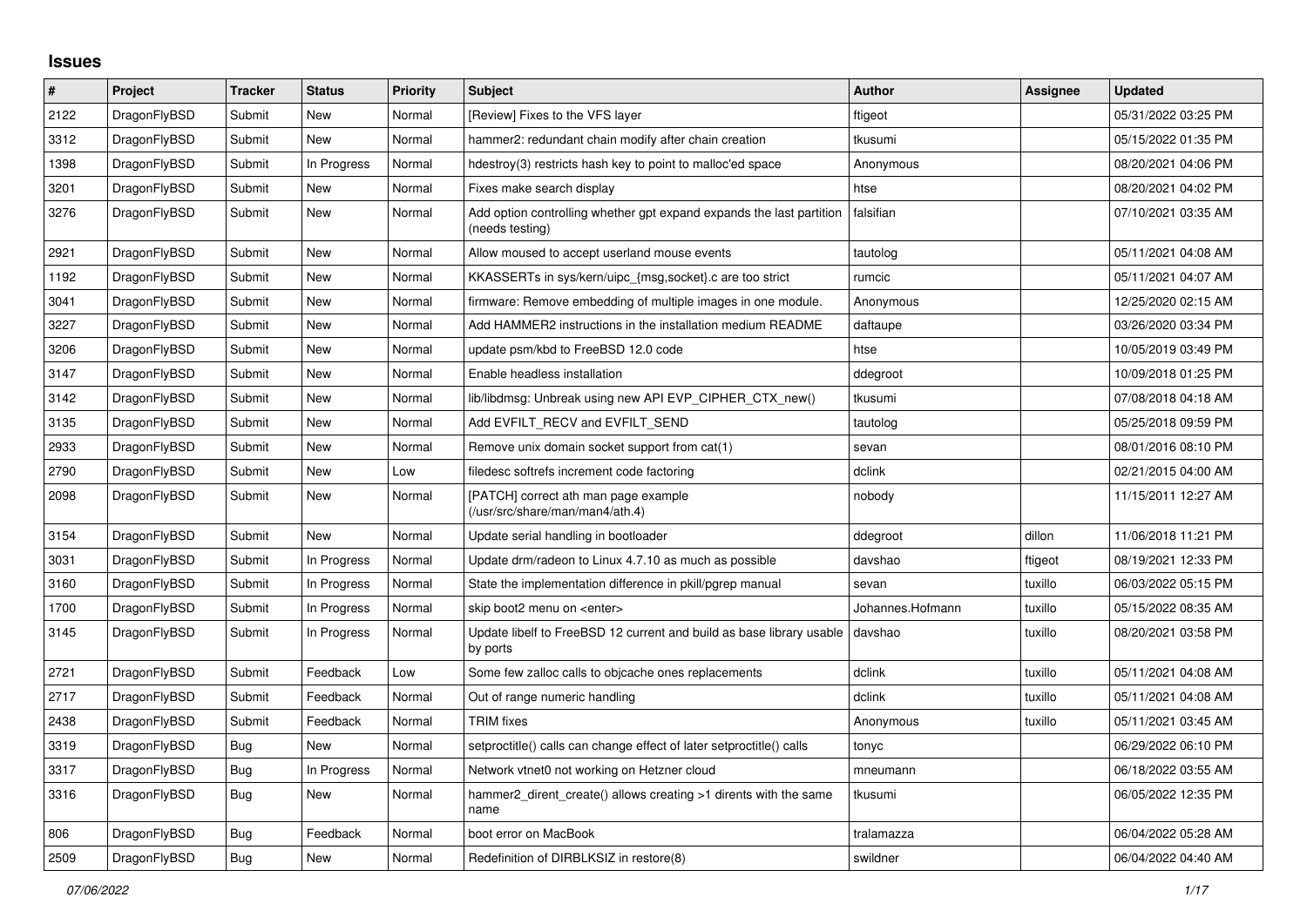## **Issues**

| #    | Project      | <b>Tracker</b> | <b>Status</b> | <b>Priority</b> | <b>Subject</b>                                                                          | <b>Author</b>    | Assignee | <b>Updated</b>      |
|------|--------------|----------------|---------------|-----------------|-----------------------------------------------------------------------------------------|------------------|----------|---------------------|
| 2122 | DragonFlyBSD | Submit         | <b>New</b>    | Normal          | [Review] Fixes to the VFS layer                                                         | ftigeot          |          | 05/31/2022 03:25 PM |
| 3312 | DragonFlyBSD | Submit         | New           | Normal          | hammer2: redundant chain modify after chain creation                                    | tkusumi          |          | 05/15/2022 01:35 PM |
| 1398 | DragonFlyBSD | Submit         | In Progress   | Normal          | hdestroy(3) restricts hash key to point to malloc'ed space                              | Anonymous        |          | 08/20/2021 04:06 PM |
| 3201 | DragonFlyBSD | Submit         | <b>New</b>    | Normal          | Fixes make search display                                                               | htse             |          | 08/20/2021 04:02 PM |
| 3276 | DragonFlyBSD | Submit         | New           | Normal          | Add option controlling whether gpt expand expands the last partition<br>(needs testing) | falsifian        |          | 07/10/2021 03:35 AM |
| 2921 | DragonFlyBSD | Submit         | <b>New</b>    | Normal          | Allow moused to accept userland mouse events                                            | tautolog         |          | 05/11/2021 04:08 AM |
| 1192 | DragonFlyBSD | Submit         | New           | Normal          | KKASSERTs in sys/kern/uipc_{msg,socket}.c are too strict                                | rumcic           |          | 05/11/2021 04:07 AM |
| 3041 | DragonFlyBSD | Submit         | New           | Normal          | firmware: Remove embedding of multiple images in one module.                            | Anonymous        |          | 12/25/2020 02:15 AM |
| 3227 | DragonFlyBSD | Submit         | <b>New</b>    | Normal          | Add HAMMER2 instructions in the installation medium README                              | daftaupe         |          | 03/26/2020 03:34 PM |
| 3206 | DragonFlyBSD | Submit         | New           | Normal          | update psm/kbd to FreeBSD 12.0 code                                                     | htse             |          | 10/05/2019 03:49 PM |
| 3147 | DragonFlyBSD | Submit         | New           | Normal          | Enable headless installation                                                            | ddegroot         |          | 10/09/2018 01:25 PM |
| 3142 | DragonFlyBSD | Submit         | <b>New</b>    | Normal          | lib/libdmsg: Unbreak using new API EVP_CIPHER_CTX_new()                                 | tkusumi          |          | 07/08/2018 04:18 AM |
| 3135 | DragonFlyBSD | Submit         | <b>New</b>    | Normal          | Add EVFILT_RECV and EVFILT_SEND                                                         | tautolog         |          | 05/25/2018 09:59 PM |
| 2933 | DragonFlyBSD | Submit         | New           | Normal          | Remove unix domain socket support from cat(1)                                           | sevan            |          | 08/01/2016 08:10 PM |
| 2790 | DragonFlyBSD | Submit         | <b>New</b>    | Low             | filedesc softrefs increment code factoring                                              | dclink           |          | 02/21/2015 04:00 AM |
| 2098 | DragonFlyBSD | Submit         | New           | Normal          | [PATCH] correct ath man page example<br>(/usr/src/share/man/man4/ath.4)                 | nobody           |          | 11/15/2011 12:27 AM |
| 3154 | DragonFlyBSD | Submit         | <b>New</b>    | Normal          | Update serial handling in bootloader                                                    | ddegroot         | dillon   | 11/06/2018 11:21 PM |
| 3031 | DragonFlyBSD | Submit         | In Progress   | Normal          | Update drm/radeon to Linux 4.7.10 as much as possible                                   | davshao          | ftigeot  | 08/19/2021 12:33 PM |
| 3160 | DragonFlyBSD | Submit         | In Progress   | Normal          | State the implementation difference in pkill/pgrep manual                               | sevan            | tuxillo  | 06/03/2022 05:15 PM |
| 1700 | DragonFlyBSD | Submit         | In Progress   | Normal          | skip boot2 menu on <enter></enter>                                                      | Johannes.Hofmann | tuxillo  | 05/15/2022 08:35 AM |
| 3145 | DragonFlyBSD | Submit         | In Progress   | Normal          | Update libelf to FreeBSD 12 current and build as base library usable<br>by ports        | davshao          | tuxillo  | 08/20/2021 03:58 PM |
| 2721 | DragonFlyBSD | Submit         | Feedback      | Low             | Some few zalloc calls to objcache ones replacements                                     | dclink           | tuxillo  | 05/11/2021 04:08 AM |
| 2717 | DragonFlyBSD | Submit         | Feedback      | Normal          | Out of range numeric handling                                                           | dclink           | tuxillo  | 05/11/2021 04:08 AM |
| 2438 | DragonFlyBSD | Submit         | Feedback      | Normal          | <b>TRIM</b> fixes                                                                       | Anonymous        | tuxillo  | 05/11/2021 03:45 AM |
| 3319 | DragonFlyBSD | Bug            | <b>New</b>    | Normal          | setproctitle() calls can change effect of later setproctitle() calls                    | tonyc            |          | 06/29/2022 06:10 PM |
| 3317 | DragonFlyBSD | Bug            | In Progress   | Normal          | Network vtnet0 not working on Hetzner cloud                                             | mneumann         |          | 06/18/2022 03:55 AM |
| 3316 | DragonFlyBSD | Bug            | <b>New</b>    | Normal          | hammer2_dirent_create() allows creating >1 dirents with the same<br>name                | tkusumi          |          | 06/05/2022 12:35 PM |
| 806  | DragonFlyBSD | Bug            | Feedback      | Normal          | boot error on MacBook                                                                   | tralamazza       |          | 06/04/2022 05:28 AM |
| 2509 | DragonFlyBSD | <b>Bug</b>     | <b>New</b>    | Normal          | Redefinition of DIRBLKSIZ in restore(8)                                                 | swildner         |          | 06/04/2022 04:40 AM |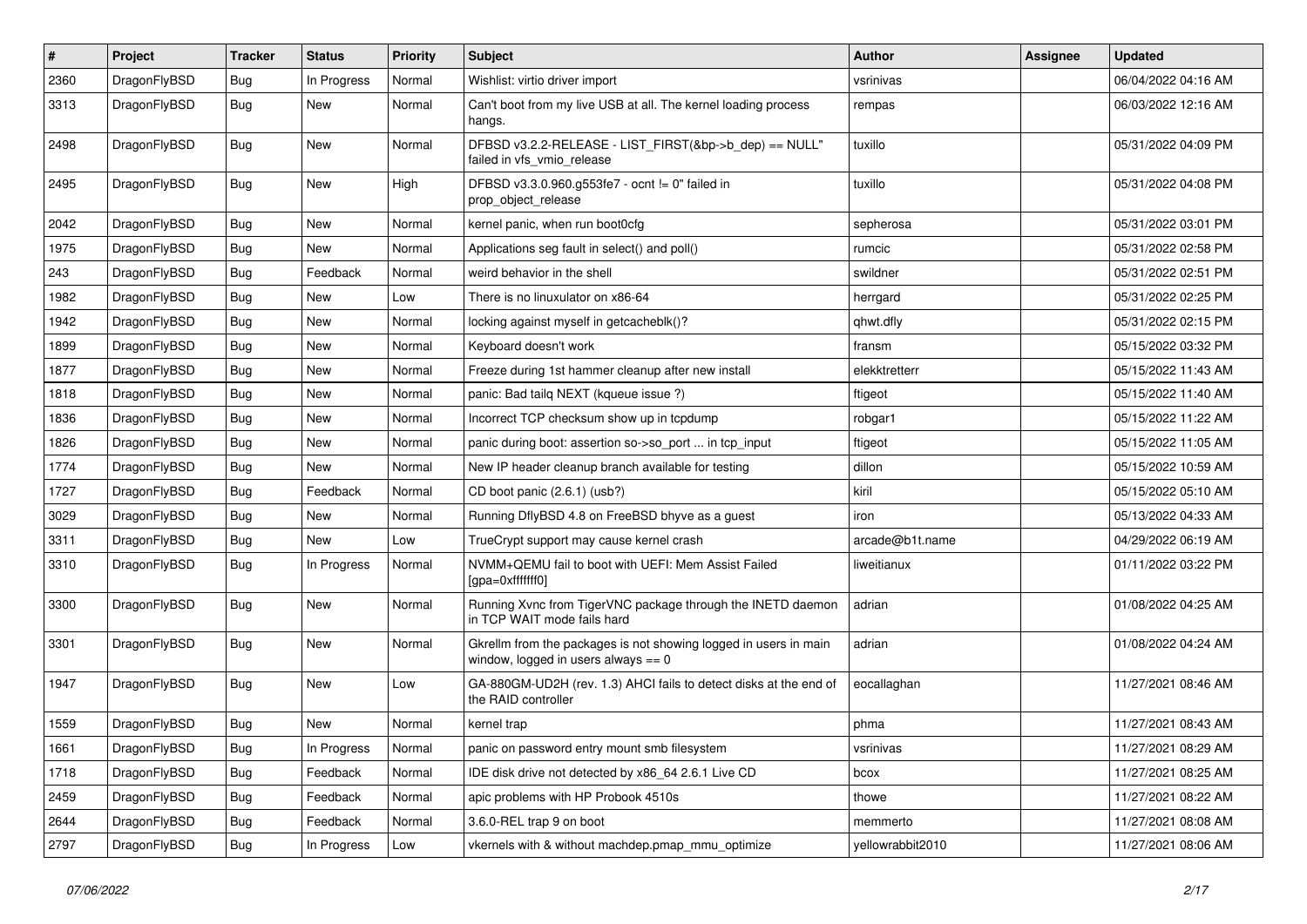| #    | Project      | <b>Tracker</b> | <b>Status</b> | <b>Priority</b> | Subject                                                                                                   | Author           | Assignee | <b>Updated</b>      |
|------|--------------|----------------|---------------|-----------------|-----------------------------------------------------------------------------------------------------------|------------------|----------|---------------------|
| 2360 | DragonFlyBSD | Bug            | In Progress   | Normal          | Wishlist: virtio driver import                                                                            | vsrinivas        |          | 06/04/2022 04:16 AM |
| 3313 | DragonFlyBSD | Bug            | New           | Normal          | Can't boot from my live USB at all. The kernel loading process<br>hangs.                                  | rempas           |          | 06/03/2022 12:16 AM |
| 2498 | DragonFlyBSD | Bug            | New           | Normal          | DFBSD v3.2.2-RELEASE - LIST_FIRST(&bp->b_dep) == NULL"<br>failed in vfs_vmio_release                      | tuxillo          |          | 05/31/2022 04:09 PM |
| 2495 | DragonFlyBSD | <b>Bug</b>     | New           | High            | DFBSD v3.3.0.960.g553fe7 - ocnt != 0" failed in<br>prop_object_release                                    | tuxillo          |          | 05/31/2022 04:08 PM |
| 2042 | DragonFlyBSD | <b>Bug</b>     | <b>New</b>    | Normal          | kernel panic, when run boot0cfg                                                                           | sepherosa        |          | 05/31/2022 03:01 PM |
| 1975 | DragonFlyBSD | Bug            | New           | Normal          | Applications seg fault in select() and poll()                                                             | rumcic           |          | 05/31/2022 02:58 PM |
| 243  | DragonFlyBSD | <b>Bug</b>     | Feedback      | Normal          | weird behavior in the shell                                                                               | swildner         |          | 05/31/2022 02:51 PM |
| 1982 | DragonFlyBSD | <b>Bug</b>     | New           | Low             | There is no linuxulator on x86-64                                                                         | herrgard         |          | 05/31/2022 02:25 PM |
| 1942 | DragonFlyBSD | Bug            | <b>New</b>    | Normal          | locking against myself in getcacheblk()?                                                                  | qhwt.dfly        |          | 05/31/2022 02:15 PM |
| 1899 | DragonFlyBSD | Bug            | <b>New</b>    | Normal          | Keyboard doesn't work                                                                                     | fransm           |          | 05/15/2022 03:32 PM |
| 1877 | DragonFlyBSD | <b>Bug</b>     | New           | Normal          | Freeze during 1st hammer cleanup after new install                                                        | elekktretterr    |          | 05/15/2022 11:43 AM |
| 1818 | DragonFlyBSD | <b>Bug</b>     | <b>New</b>    | Normal          | panic: Bad tailq NEXT (kqueue issue ?)                                                                    | ftigeot          |          | 05/15/2022 11:40 AM |
| 1836 | DragonFlyBSD | Bug            | New           | Normal          | Incorrect TCP checksum show up in tcpdump                                                                 | robgar1          |          | 05/15/2022 11:22 AM |
| 1826 | DragonFlyBSD | Bug            | <b>New</b>    | Normal          | panic during boot: assertion so->so_port  in tcp_input                                                    | ftigeot          |          | 05/15/2022 11:05 AM |
| 1774 | DragonFlyBSD | Bug            | New           | Normal          | New IP header cleanup branch available for testing                                                        | dillon           |          | 05/15/2022 10:59 AM |
| 1727 | DragonFlyBSD | <b>Bug</b>     | Feedback      | Normal          | CD boot panic (2.6.1) (usb?)                                                                              | kiril            |          | 05/15/2022 05:10 AM |
| 3029 | DragonFlyBSD | Bug            | New           | Normal          | Running DflyBSD 4.8 on FreeBSD bhyve as a guest                                                           | iron             |          | 05/13/2022 04:33 AM |
| 3311 | DragonFlyBSD | <b>Bug</b>     | New           | Low             | TrueCrypt support may cause kernel crash                                                                  | arcade@b1t.name  |          | 04/29/2022 06:19 AM |
| 3310 | DragonFlyBSD | Bug            | In Progress   | Normal          | NVMM+QEMU fail to boot with UEFI: Mem Assist Failed<br>[gpa=0xfffffff0]                                   | liweitianux      |          | 01/11/2022 03:22 PM |
| 3300 | DragonFlyBSD | Bug            | New           | Normal          | Running Xvnc from TigerVNC package through the INETD daemon<br>in TCP WAIT mode fails hard                | adrian           |          | 01/08/2022 04:25 AM |
| 3301 | DragonFlyBSD | <b>Bug</b>     | New           | Normal          | Gkrellm from the packages is not showing logged in users in main<br>window, logged in users always $== 0$ | adrian           |          | 01/08/2022 04:24 AM |
| 1947 | DragonFlyBSD | Bug            | <b>New</b>    | Low             | GA-880GM-UD2H (rev. 1.3) AHCI fails to detect disks at the end of<br>the RAID controller                  | eocallaghan      |          | 11/27/2021 08:46 AM |
| 1559 | DragonFlyBSD | <b>Bug</b>     | New           | Normal          | kernel trap                                                                                               | phma             |          | 11/27/2021 08:43 AM |
| 1661 | DragonFlyBSD | Bug            | In Progress   | Normal          | panic on password entry mount smb filesystem                                                              | vsrinivas        |          | 11/27/2021 08:29 AM |
| 1718 | DragonFlyBSD | <b>Bug</b>     | Feedback      | Normal          | IDE disk drive not detected by x86_64 2.6.1 Live CD                                                       | bcox             |          | 11/27/2021 08:25 AM |
| 2459 | DragonFlyBSD | <b>Bug</b>     | Feedback      | Normal          | apic problems with HP Probook 4510s                                                                       | thowe            |          | 11/27/2021 08:22 AM |
| 2644 | DragonFlyBSD | <b>Bug</b>     | Feedback      | Normal          | 3.6.0-REL trap 9 on boot                                                                                  | memmerto         |          | 11/27/2021 08:08 AM |
| 2797 | DragonFlyBSD | Bug            | In Progress   | Low             | vkernels with & without machdep.pmap_mmu_optimize                                                         | yellowrabbit2010 |          | 11/27/2021 08:06 AM |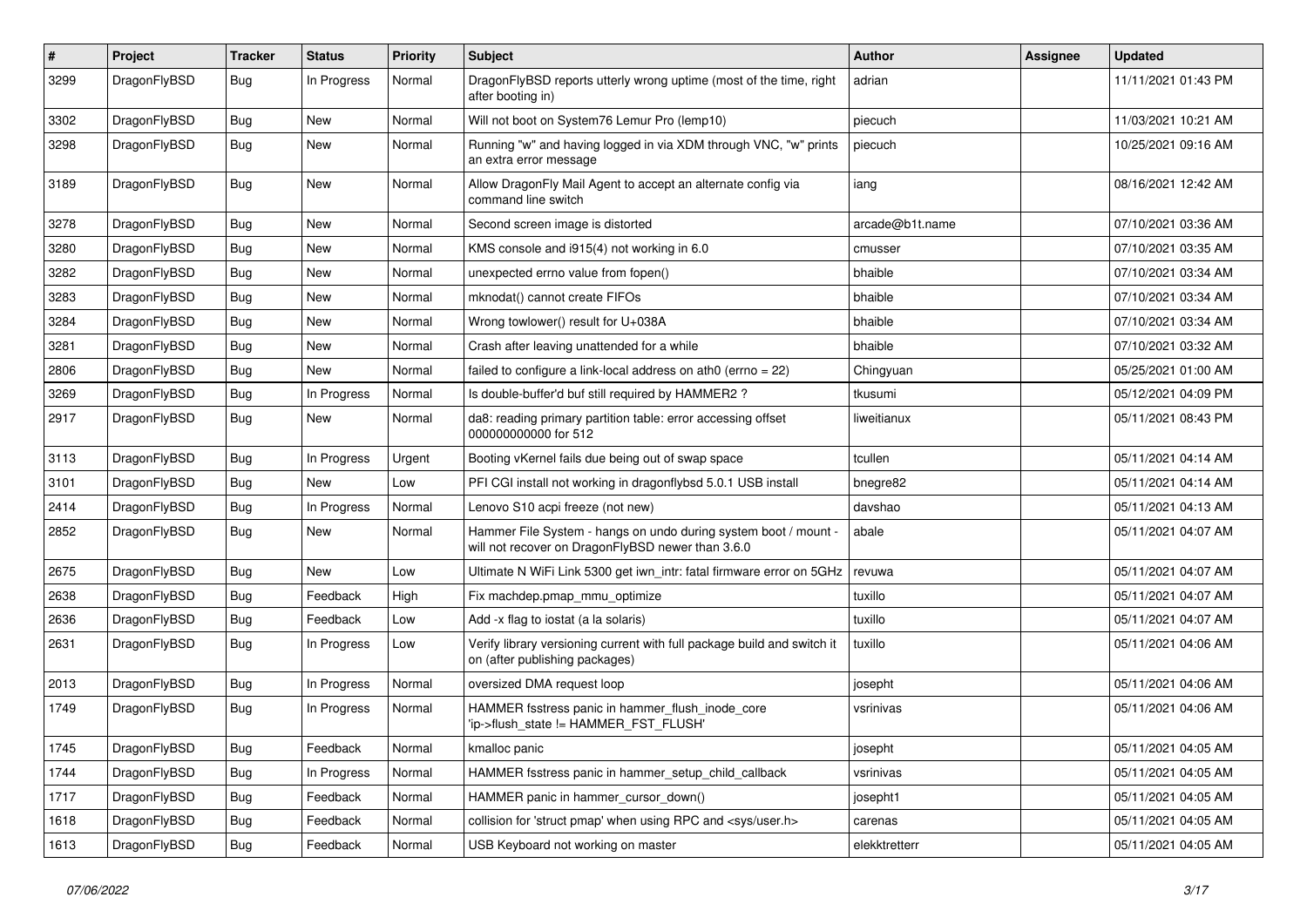| $\sharp$ | Project      | <b>Tracker</b> | <b>Status</b> | <b>Priority</b> | Subject                                                                                                              | <b>Author</b>   | Assignee | <b>Updated</b>      |
|----------|--------------|----------------|---------------|-----------------|----------------------------------------------------------------------------------------------------------------------|-----------------|----------|---------------------|
| 3299     | DragonFlyBSD | Bug            | In Progress   | Normal          | DragonFlyBSD reports utterly wrong uptime (most of the time, right<br>after booting in)                              | adrian          |          | 11/11/2021 01:43 PM |
| 3302     | DragonFlyBSD | Bug            | <b>New</b>    | Normal          | Will not boot on System76 Lemur Pro (lemp10)                                                                         | piecuch         |          | 11/03/2021 10:21 AM |
| 3298     | DragonFlyBSD | <b>Bug</b>     | New           | Normal          | Running "w" and having logged in via XDM through VNC, "w" prints<br>an extra error message                           | piecuch         |          | 10/25/2021 09:16 AM |
| 3189     | DragonFlyBSD | Bug            | New           | Normal          | Allow DragonFly Mail Agent to accept an alternate config via<br>command line switch                                  | iang            |          | 08/16/2021 12:42 AM |
| 3278     | DragonFlyBSD | Bug            | New           | Normal          | Second screen image is distorted                                                                                     | arcade@b1t.name |          | 07/10/2021 03:36 AM |
| 3280     | DragonFlyBSD | <b>Bug</b>     | <b>New</b>    | Normal          | KMS console and i915(4) not working in 6.0                                                                           | cmusser         |          | 07/10/2021 03:35 AM |
| 3282     | DragonFlyBSD | <b>Bug</b>     | <b>New</b>    | Normal          | unexpected errno value from fopen()                                                                                  | bhaible         |          | 07/10/2021 03:34 AM |
| 3283     | DragonFlyBSD | <b>Bug</b>     | <b>New</b>    | Normal          | mknodat() cannot create FIFOs                                                                                        | bhaible         |          | 07/10/2021 03:34 AM |
| 3284     | DragonFlyBSD | <b>Bug</b>     | New           | Normal          | Wrong towlower() result for U+038A                                                                                   | bhaible         |          | 07/10/2021 03:34 AM |
| 3281     | DragonFlyBSD | Bug            | <b>New</b>    | Normal          | Crash after leaving unattended for a while                                                                           | bhaible         |          | 07/10/2021 03:32 AM |
| 2806     | DragonFlyBSD | <b>Bug</b>     | New           | Normal          | failed to configure a link-local address on ath0 (errno = 22)                                                        | Chingyuan       |          | 05/25/2021 01:00 AM |
| 3269     | DragonFlyBSD | <b>Bug</b>     | In Progress   | Normal          | Is double-buffer'd buf still required by HAMMER2 ?                                                                   | tkusumi         |          | 05/12/2021 04:09 PM |
| 2917     | DragonFlyBSD | <b>Bug</b>     | New           | Normal          | da8: reading primary partition table: error accessing offset<br>000000000000 for 512                                 | liweitianux     |          | 05/11/2021 08:43 PM |
| 3113     | DragonFlyBSD | Bug            | In Progress   | Urgent          | Booting vKernel fails due being out of swap space                                                                    | tcullen         |          | 05/11/2021 04:14 AM |
| 3101     | DragonFlyBSD | <b>Bug</b>     | New           | Low             | PFI CGI install not working in dragonflybsd 5.0.1 USB install                                                        | bnegre82        |          | 05/11/2021 04:14 AM |
| 2414     | DragonFlyBSD | <b>Bug</b>     | In Progress   | Normal          | Lenovo S10 acpi freeze (not new)                                                                                     | davshao         |          | 05/11/2021 04:13 AM |
| 2852     | DragonFlyBSD | Bug            | New           | Normal          | Hammer File System - hangs on undo during system boot / mount -<br>will not recover on DragonFlyBSD newer than 3.6.0 | abale           |          | 05/11/2021 04:07 AM |
| 2675     | DragonFlyBSD | Bug            | New           | Low             | Ultimate N WiFi Link 5300 get iwn intr: fatal firmware error on 5GHz                                                 | revuwa          |          | 05/11/2021 04:07 AM |
| 2638     | DragonFlyBSD | <b>Bug</b>     | Feedback      | High            | Fix machdep.pmap_mmu_optimize                                                                                        | tuxillo         |          | 05/11/2021 04:07 AM |
| 2636     | DragonFlyBSD | <b>Bug</b>     | Feedback      | Low             | Add -x flag to iostat (a la solaris)                                                                                 | tuxillo         |          | 05/11/2021 04:07 AM |
| 2631     | DragonFlyBSD | Bug            | In Progress   | Low             | Verify library versioning current with full package build and switch it<br>on (after publishing packages)            | tuxillo         |          | 05/11/2021 04:06 AM |
| 2013     | DragonFlyBSD | <b>Bug</b>     | In Progress   | Normal          | oversized DMA request loop                                                                                           | josepht         |          | 05/11/2021 04:06 AM |
| 1749     | DragonFlyBSD | Bug            | In Progress   | Normal          | HAMMER fsstress panic in hammer_flush_inode_core<br>'ip->flush state != HAMMER FST FLUSH'                            | vsrinivas       |          | 05/11/2021 04:06 AM |
| 1745     | DragonFlyBSD | <b>Bug</b>     | Feedback      | Normal          | kmalloc panic                                                                                                        | josepht         |          | 05/11/2021 04:05 AM |
| 1744     | DragonFlyBSD | <b>Bug</b>     | In Progress   | Normal          | HAMMER fsstress panic in hammer setup child callback                                                                 | vsrinivas       |          | 05/11/2021 04:05 AM |
| 1717     | DragonFlyBSD | <b>Bug</b>     | Feedback      | Normal          | HAMMER panic in hammer_cursor_down()                                                                                 | josepht1        |          | 05/11/2021 04:05 AM |
| 1618     | DragonFlyBSD | <b>Bug</b>     | Feedback      | Normal          | collision for 'struct pmap' when using RPC and <sys user.h=""></sys>                                                 | carenas         |          | 05/11/2021 04:05 AM |
| 1613     | DragonFlyBSD | <b>Bug</b>     | Feedback      | Normal          | USB Keyboard not working on master                                                                                   | elekktretterr   |          | 05/11/2021 04:05 AM |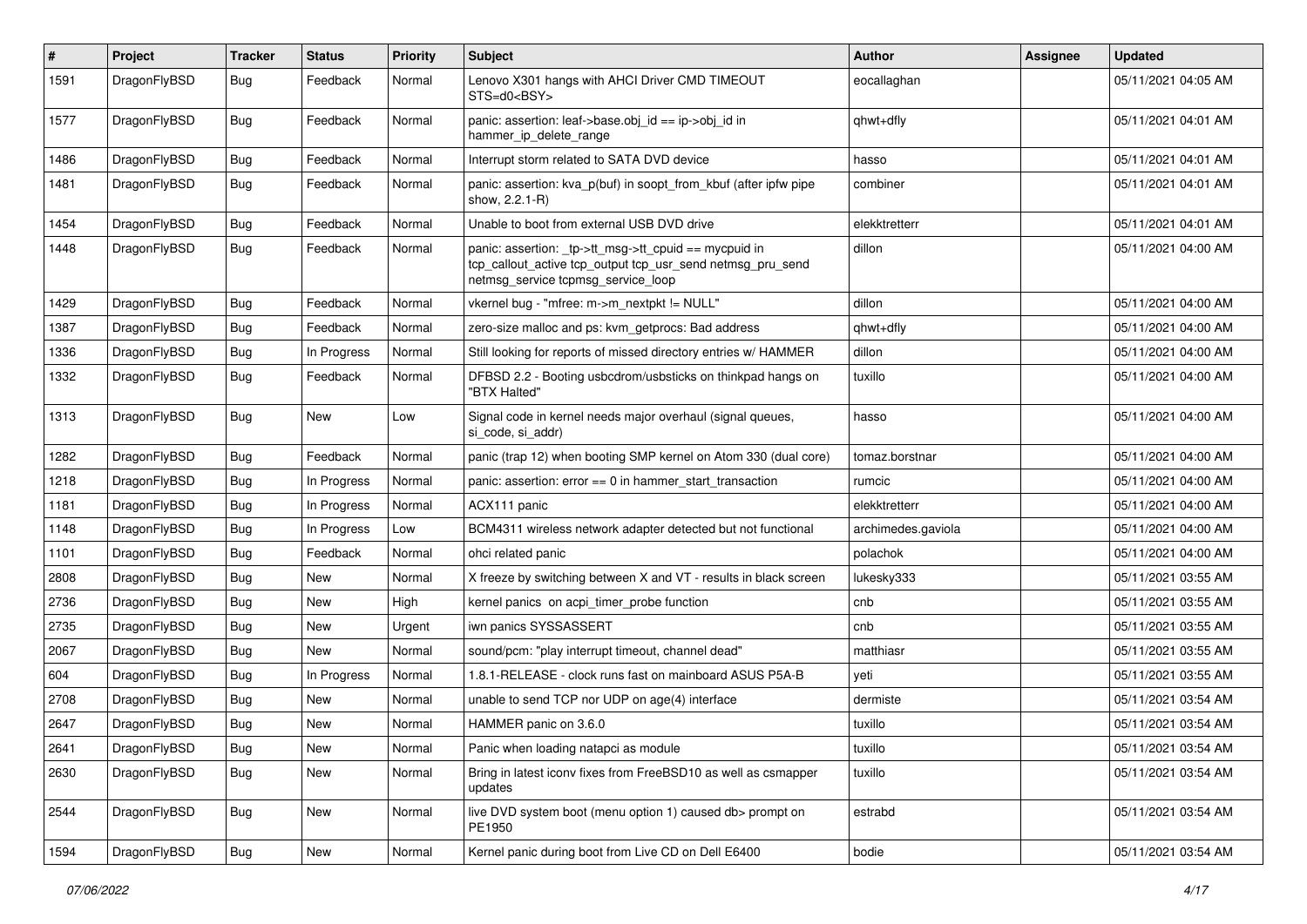| $\sharp$ | Project      | <b>Tracker</b> | <b>Status</b> | <b>Priority</b> | <b>Subject</b>                                                                                                                                            | <b>Author</b>      | <b>Assignee</b> | <b>Updated</b>      |
|----------|--------------|----------------|---------------|-----------------|-----------------------------------------------------------------------------------------------------------------------------------------------------------|--------------------|-----------------|---------------------|
| 1591     | DragonFlyBSD | Bug            | Feedback      | Normal          | Lenovo X301 hangs with AHCI Driver CMD TIMEOUT<br>STS=d0 <bsy></bsy>                                                                                      | eocallaghan        |                 | 05/11/2021 04:05 AM |
| 1577     | DragonFlyBSD | Bug            | Feedback      | Normal          | panic: assertion: leaf->base.obj_id == ip->obj_id in<br>hammer ip delete range                                                                            | qhwt+dfly          |                 | 05/11/2021 04:01 AM |
| 1486     | DragonFlyBSD | Bug            | Feedback      | Normal          | Interrupt storm related to SATA DVD device                                                                                                                | hasso              |                 | 05/11/2021 04:01 AM |
| 1481     | DragonFlyBSD | Bug            | Feedback      | Normal          | panic: assertion: kva p(buf) in soopt from kbuf (after ipfw pipe<br>show, 2.2.1-R)                                                                        | combiner           |                 | 05/11/2021 04:01 AM |
| 1454     | DragonFlyBSD | Bug            | Feedback      | Normal          | Unable to boot from external USB DVD drive                                                                                                                | elekktretterr      |                 | 05/11/2021 04:01 AM |
| 1448     | DragonFlyBSD | Bug            | Feedback      | Normal          | panic: assertion: _tp->tt_msg->tt_cpuid == mycpuid in<br>tcp callout active tcp output tcp usr send netmsg pru send<br>netmsg_service tcpmsg_service_loop | dillon             |                 | 05/11/2021 04:00 AM |
| 1429     | DragonFlyBSD | Bug            | Feedback      | Normal          | vkernel bug - "mfree: m->m_nextpkt != NULL"                                                                                                               | dillon             |                 | 05/11/2021 04:00 AM |
| 1387     | DragonFlyBSD | Bug            | Feedback      | Normal          | zero-size malloc and ps: kvm_getprocs: Bad address                                                                                                        | qhwt+dfly          |                 | 05/11/2021 04:00 AM |
| 1336     | DragonFlyBSD | Bug            | In Progress   | Normal          | Still looking for reports of missed directory entries w/ HAMMER                                                                                           | dillon             |                 | 05/11/2021 04:00 AM |
| 1332     | DragonFlyBSD | Bug            | Feedback      | Normal          | DFBSD 2.2 - Booting usbcdrom/usbsticks on thinkpad hangs on<br>"BTX Halted"                                                                               | tuxillo            |                 | 05/11/2021 04:00 AM |
| 1313     | DragonFlyBSD | Bug            | New           | Low             | Signal code in kernel needs major overhaul (signal queues,<br>si_code, si_addr)                                                                           | hasso              |                 | 05/11/2021 04:00 AM |
| 1282     | DragonFlyBSD | Bug            | Feedback      | Normal          | panic (trap 12) when booting SMP kernel on Atom 330 (dual core)                                                                                           | tomaz.borstnar     |                 | 05/11/2021 04:00 AM |
| 1218     | DragonFlyBSD | Bug            | In Progress   | Normal          | panic: assertion: error == 0 in hammer_start_transaction                                                                                                  | rumcic             |                 | 05/11/2021 04:00 AM |
| 1181     | DragonFlyBSD | Bug            | In Progress   | Normal          | ACX111 panic                                                                                                                                              | elekktretterr      |                 | 05/11/2021 04:00 AM |
| 1148     | DragonFlyBSD | Bug            | In Progress   | Low             | BCM4311 wireless network adapter detected but not functional                                                                                              | archimedes.gaviola |                 | 05/11/2021 04:00 AM |
| 1101     | DragonFlyBSD | Bug            | Feedback      | Normal          | ohci related panic                                                                                                                                        | polachok           |                 | 05/11/2021 04:00 AM |
| 2808     | DragonFlyBSD | Bug            | New           | Normal          | X freeze by switching between X and VT - results in black screen                                                                                          | lukesky333         |                 | 05/11/2021 03:55 AM |
| 2736     | DragonFlyBSD | Bug            | New           | High            | kernel panics on acpi timer probe function                                                                                                                | cnb                |                 | 05/11/2021 03:55 AM |
| 2735     | DragonFlyBSD | Bug            | New           | Urgent          | iwn panics SYSSASSERT                                                                                                                                     | cnb                |                 | 05/11/2021 03:55 AM |
| 2067     | DragonFlyBSD | Bug            | New           | Normal          | sound/pcm: "play interrupt timeout, channel dead"                                                                                                         | matthiasr          |                 | 05/11/2021 03:55 AM |
| 604      | DragonFlyBSD | Bug            | In Progress   | Normal          | 1.8.1-RELEASE - clock runs fast on mainboard ASUS P5A-B                                                                                                   | yeti               |                 | 05/11/2021 03:55 AM |
| 2708     | DragonFlyBSD | <b>Bug</b>     | New           | Normal          | unable to send TCP nor UDP on age(4) interface                                                                                                            | dermiste           |                 | 05/11/2021 03:54 AM |
| 2647     | DragonFlyBSD | <b>Bug</b>     | New           | Normal          | HAMMER panic on 3.6.0                                                                                                                                     | tuxillo            |                 | 05/11/2021 03:54 AM |
| 2641     | DragonFlyBSD | Bug            | <b>New</b>    | Normal          | Panic when loading natapci as module                                                                                                                      | tuxillo            |                 | 05/11/2021 03:54 AM |
| 2630     | DragonFlyBSD | Bug            | New           | Normal          | Bring in latest iconv fixes from FreeBSD10 as well as csmapper<br>updates                                                                                 | tuxillo            |                 | 05/11/2021 03:54 AM |
| 2544     | DragonFlyBSD | <b>Bug</b>     | New           | Normal          | live DVD system boot (menu option 1) caused db> prompt on<br>PE1950                                                                                       | estrabd            |                 | 05/11/2021 03:54 AM |
| 1594     | DragonFlyBSD | <b>Bug</b>     | New           | Normal          | Kernel panic during boot from Live CD on Dell E6400                                                                                                       | bodie              |                 | 05/11/2021 03:54 AM |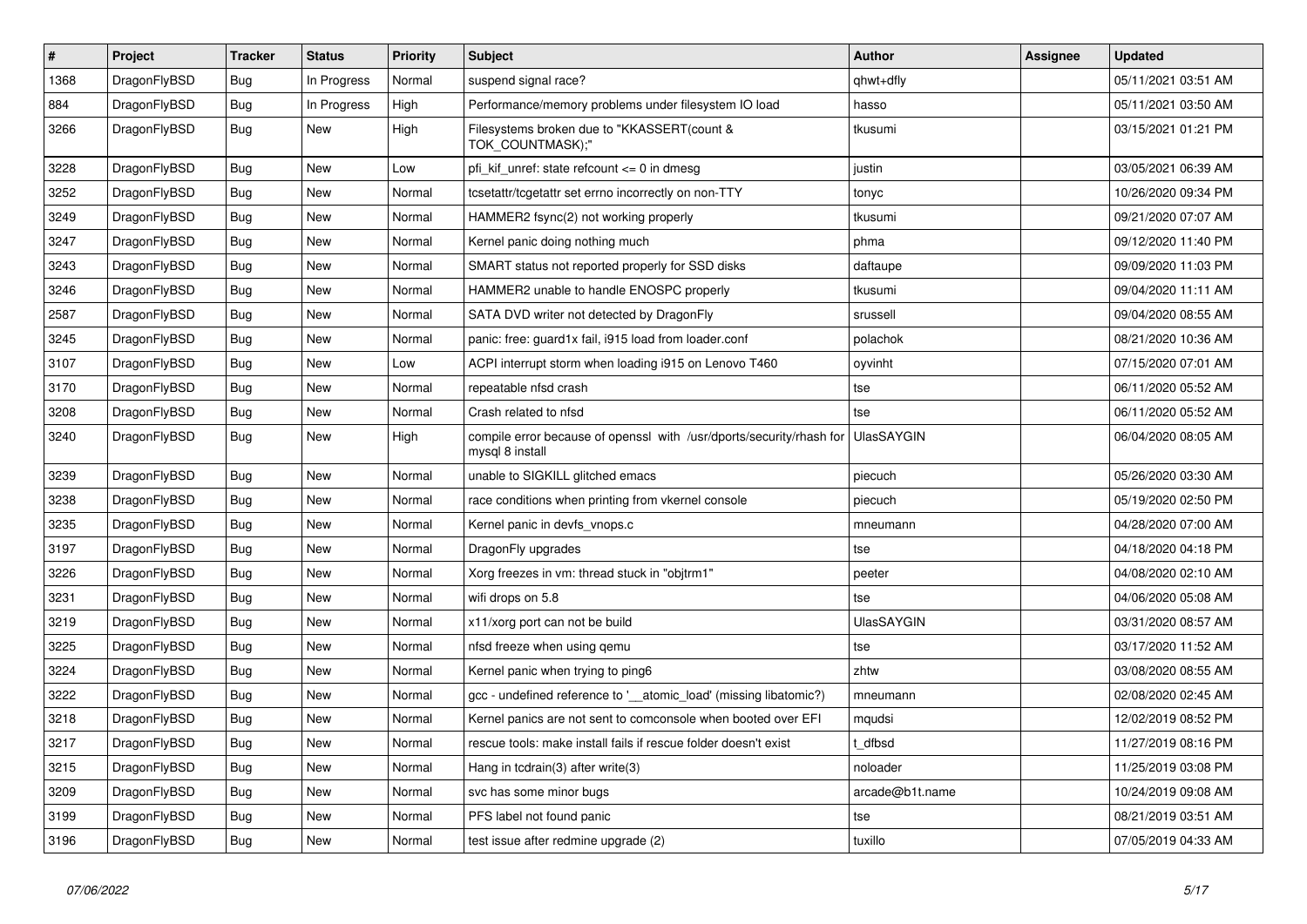| $\pmb{\#}$ | Project      | <b>Tracker</b> | <b>Status</b> | <b>Priority</b> | <b>Subject</b>                                                                          | <b>Author</b>     | Assignee | Updated             |
|------------|--------------|----------------|---------------|-----------------|-----------------------------------------------------------------------------------------|-------------------|----------|---------------------|
| 1368       | DragonFlyBSD | Bug            | In Progress   | Normal          | suspend signal race?                                                                    | qhwt+dfly         |          | 05/11/2021 03:51 AM |
| 884        | DragonFlyBSD | Bug            | In Progress   | High            | Performance/memory problems under filesystem IO load                                    | hasso             |          | 05/11/2021 03:50 AM |
| 3266       | DragonFlyBSD | <b>Bug</b>     | New           | High            | Filesystems broken due to "KKASSERT(count &<br>TOK_COUNTMASK);"                         | tkusumi           |          | 03/15/2021 01:21 PM |
| 3228       | DragonFlyBSD | Bug            | <b>New</b>    | Low             | pfi kif unref: state refcount $\leq$ 0 in dmesg                                         | justin            |          | 03/05/2021 06:39 AM |
| 3252       | DragonFlyBSD | Bug            | <b>New</b>    | Normal          | tcsetattr/tcgetattr set errno incorrectly on non-TTY                                    | tonyc             |          | 10/26/2020 09:34 PM |
| 3249       | DragonFlyBSD | Bug            | <b>New</b>    | Normal          | HAMMER2 fsync(2) not working properly                                                   | tkusumi           |          | 09/21/2020 07:07 AM |
| 3247       | DragonFlyBSD | <b>Bug</b>     | <b>New</b>    | Normal          | Kernel panic doing nothing much                                                         | phma              |          | 09/12/2020 11:40 PM |
| 3243       | DragonFlyBSD | Bug            | <b>New</b>    | Normal          | SMART status not reported properly for SSD disks                                        | daftaupe          |          | 09/09/2020 11:03 PM |
| 3246       | DragonFlyBSD | Bug            | <b>New</b>    | Normal          | HAMMER2 unable to handle ENOSPC properly                                                | tkusumi           |          | 09/04/2020 11:11 AM |
| 2587       | DragonFlyBSD | Bug            | New           | Normal          | SATA DVD writer not detected by DragonFly                                               | srussell          |          | 09/04/2020 08:55 AM |
| 3245       | DragonFlyBSD | Bug            | <b>New</b>    | Normal          | panic: free: guard1x fail, i915 load from loader.conf                                   | polachok          |          | 08/21/2020 10:36 AM |
| 3107       | DragonFlyBSD | Bug            | <b>New</b>    | Low             | ACPI interrupt storm when loading i915 on Lenovo T460                                   | oyvinht           |          | 07/15/2020 07:01 AM |
| 3170       | DragonFlyBSD | Bug            | <b>New</b>    | Normal          | repeatable nfsd crash                                                                   | tse               |          | 06/11/2020 05:52 AM |
| 3208       | DragonFlyBSD | Bug            | <b>New</b>    | Normal          | Crash related to nfsd                                                                   | tse               |          | 06/11/2020 05:52 AM |
| 3240       | DragonFlyBSD | Bug            | <b>New</b>    | High            | compile error because of openssl with /usr/dports/security/rhash for<br>mysql 8 install | <b>UlasSAYGIN</b> |          | 06/04/2020 08:05 AM |
| 3239       | DragonFlyBSD | <b>Bug</b>     | <b>New</b>    | Normal          | unable to SIGKILL glitched emacs                                                        | piecuch           |          | 05/26/2020 03:30 AM |
| 3238       | DragonFlyBSD | <b>Bug</b>     | New           | Normal          | race conditions when printing from vkernel console                                      | piecuch           |          | 05/19/2020 02:50 PM |
| 3235       | DragonFlyBSD | Bug            | <b>New</b>    | Normal          | Kernel panic in devfs_vnops.c                                                           | mneumann          |          | 04/28/2020 07:00 AM |
| 3197       | DragonFlyBSD | <b>Bug</b>     | <b>New</b>    | Normal          | DragonFly upgrades                                                                      | tse               |          | 04/18/2020 04:18 PM |
| 3226       | DragonFlyBSD | Bug            | <b>New</b>    | Normal          | Xorg freezes in vm: thread stuck in "objtrm1"                                           | peeter            |          | 04/08/2020 02:10 AM |
| 3231       | DragonFlyBSD | <b>Bug</b>     | <b>New</b>    | Normal          | wifi drops on 5.8                                                                       | tse               |          | 04/06/2020 05:08 AM |
| 3219       | DragonFlyBSD | <b>Bug</b>     | <b>New</b>    | Normal          | x11/xorg port can not be build                                                          | <b>UlasSAYGIN</b> |          | 03/31/2020 08:57 AM |
| 3225       | DragonFlyBSD | Bug            | <b>New</b>    | Normal          | nfsd freeze when using gemu                                                             | tse               |          | 03/17/2020 11:52 AM |
| 3224       | DragonFlyBSD | <b>Bug</b>     | <b>New</b>    | Normal          | Kernel panic when trying to ping6                                                       | zhtw              |          | 03/08/2020 08:55 AM |
| 3222       | DragonFlyBSD | <b>Bug</b>     | <b>New</b>    | Normal          | gcc - undefined reference to '__atomic_load' (missing libatomic?)                       | mneumann          |          | 02/08/2020 02:45 AM |
| 3218       | DragonFlyBSD | <b>Bug</b>     | <b>New</b>    | Normal          | Kernel panics are not sent to comconsole when booted over EFI                           | mqudsi            |          | 12/02/2019 08:52 PM |
| 3217       | DragonFlyBSD | <b>Bug</b>     | <b>New</b>    | Normal          | rescue tools: make install fails if rescue folder doesn't exist                         | t dfbsd           |          | 11/27/2019 08:16 PM |
| 3215       | DragonFlyBSD | Bug            | <b>New</b>    | Normal          | Hang in tcdrain(3) after write(3)                                                       | noloader          |          | 11/25/2019 03:08 PM |
| 3209       | DragonFlyBSD | Bug            | <b>New</b>    | Normal          | svc has some minor bugs                                                                 | arcade@b1t.name   |          | 10/24/2019 09:08 AM |
| 3199       | DragonFlyBSD | Bug            | New           | Normal          | PFS label not found panic                                                               | tse               |          | 08/21/2019 03:51 AM |
| 3196       | DragonFlyBSD | Bug            | <b>New</b>    | Normal          | test issue after redmine upgrade (2)                                                    | tuxillo           |          | 07/05/2019 04:33 AM |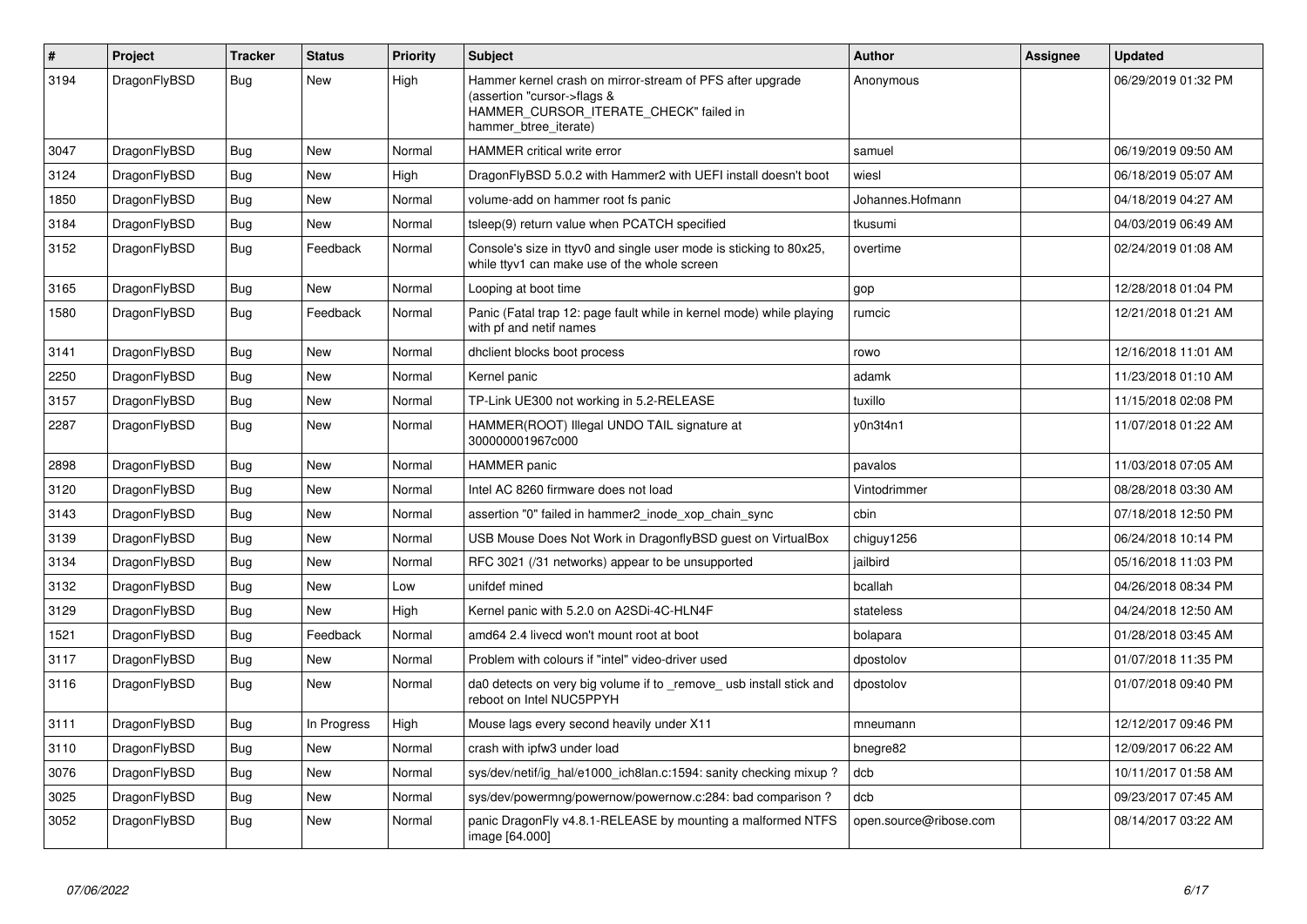| $\vert$ # | <b>Project</b> | <b>Tracker</b> | <b>Status</b> | <b>Priority</b> | <b>Subject</b>                                                                                                                                              | <b>Author</b>          | Assignee | <b>Updated</b>      |
|-----------|----------------|----------------|---------------|-----------------|-------------------------------------------------------------------------------------------------------------------------------------------------------------|------------------------|----------|---------------------|
| 3194      | DragonFlyBSD   | Bug            | <b>New</b>    | High            | Hammer kernel crash on mirror-stream of PFS after upgrade<br>(assertion "cursor->flags &<br>HAMMER_CURSOR_ITERATE_CHECK" failed in<br>hammer btree iterate) | Anonymous              |          | 06/29/2019 01:32 PM |
| 3047      | DragonFlyBSD   | Bug            | <b>New</b>    | Normal          | <b>HAMMER critical write error</b>                                                                                                                          | samuel                 |          | 06/19/2019 09:50 AM |
| 3124      | DragonFlyBSD   | Bug            | <b>New</b>    | High            | DragonFlyBSD 5.0.2 with Hammer2 with UEFI install doesn't boot                                                                                              | wiesl                  |          | 06/18/2019 05:07 AM |
| 1850      | DragonFlyBSD   | Bug            | <b>New</b>    | Normal          | volume-add on hammer root fs panic                                                                                                                          | Johannes.Hofmann       |          | 04/18/2019 04:27 AM |
| 3184      | DragonFlyBSD   | <b>Bug</b>     | <b>New</b>    | Normal          | tsleep(9) return value when PCATCH specified                                                                                                                | tkusumi                |          | 04/03/2019 06:49 AM |
| 3152      | DragonFlyBSD   | Bug            | Feedback      | Normal          | Console's size in ttyv0 and single user mode is sticking to 80x25,<br>while ttyv1 can make use of the whole screen                                          | overtime               |          | 02/24/2019 01:08 AM |
| 3165      | DragonFlyBSD   | <b>Bug</b>     | <b>New</b>    | Normal          | Looping at boot time                                                                                                                                        | gop                    |          | 12/28/2018 01:04 PM |
| 1580      | DragonFlyBSD   | Bug            | Feedback      | Normal          | Panic (Fatal trap 12: page fault while in kernel mode) while playing<br>with pf and netif names                                                             | rumcic                 |          | 12/21/2018 01:21 AM |
| 3141      | DragonFlyBSD   | <b>Bug</b>     | <b>New</b>    | Normal          | dhclient blocks boot process                                                                                                                                | rowo                   |          | 12/16/2018 11:01 AM |
| 2250      | DragonFlyBSD   | Bug            | New           | Normal          | Kernel panic                                                                                                                                                | adamk                  |          | 11/23/2018 01:10 AM |
| 3157      | DragonFlyBSD   | Bug            | <b>New</b>    | Normal          | TP-Link UE300 not working in 5.2-RELEASE                                                                                                                    | tuxillo                |          | 11/15/2018 02:08 PM |
| 2287      | DragonFlyBSD   | Bug            | New           | Normal          | HAMMER(ROOT) Illegal UNDO TAIL signature at<br>300000001967c000                                                                                             | y0n3t4n1               |          | 11/07/2018 01:22 AM |
| 2898      | DragonFlyBSD   | Bug            | New           | Normal          | <b>HAMMER</b> panic                                                                                                                                         | pavalos                |          | 11/03/2018 07:05 AM |
| 3120      | DragonFlyBSD   | Bug            | <b>New</b>    | Normal          | Intel AC 8260 firmware does not load                                                                                                                        | Vintodrimmer           |          | 08/28/2018 03:30 AM |
| 3143      | DragonFlyBSD   | Bug            | New           | Normal          | assertion "0" failed in hammer2 inode xop chain sync                                                                                                        | cbin                   |          | 07/18/2018 12:50 PM |
| 3139      | DragonFlyBSD   | Bug            | New           | Normal          | USB Mouse Does Not Work in DragonflyBSD guest on VirtualBox                                                                                                 | chiguy1256             |          | 06/24/2018 10:14 PM |
| 3134      | DragonFlyBSD   | <b>Bug</b>     | <b>New</b>    | Normal          | RFC 3021 (/31 networks) appear to be unsupported                                                                                                            | jailbird               |          | 05/16/2018 11:03 PM |
| 3132      | DragonFlyBSD   | Bug            | New           | Low             | unifdef mined                                                                                                                                               | bcallah                |          | 04/26/2018 08:34 PM |
| 3129      | DragonFlyBSD   | Bug            | <b>New</b>    | High            | Kernel panic with 5.2.0 on A2SDi-4C-HLN4F                                                                                                                   | stateless              |          | 04/24/2018 12:50 AM |
| 1521      | DragonFlyBSD   | Bug            | Feedback      | Normal          | amd64 2.4 livecd won't mount root at boot                                                                                                                   | bolapara               |          | 01/28/2018 03:45 AM |
| 3117      | DragonFlyBSD   | Bug            | <b>New</b>    | Normal          | Problem with colours if "intel" video-driver used                                                                                                           | dpostolov              |          | 01/07/2018 11:35 PM |
| 3116      | DragonFlyBSD   | Bug            | <b>New</b>    | Normal          | da0 detects on very big volume if to remove usb install stick and<br>reboot on Intel NUC5PPYH                                                               | dpostolov              |          | 01/07/2018 09:40 PM |
| 3111      | DragonFlyBSD   | Bug            | In Progress   | High            | Mouse lags every second heavily under X11                                                                                                                   | mneumann               |          | 12/12/2017 09:46 PM |
| 3110      | DragonFlyBSD   | Bug            | New           | Normal          | crash with ipfw3 under load                                                                                                                                 | bnegre82               |          | 12/09/2017 06:22 AM |
| 3076      | DragonFlyBSD   | Bug            | <b>New</b>    | Normal          | sys/dev/netif/ig hal/e1000 ich8lan.c:1594: sanity checking mixup?                                                                                           | dcb                    |          | 10/11/2017 01:58 AM |
| 3025      | DragonFlyBSD   | <b>Bug</b>     | <b>New</b>    | Normal          | sys/dev/powermng/powernow/powernow.c:284: bad comparison?                                                                                                   | dcb                    |          | 09/23/2017 07:45 AM |
| 3052      | DragonFlyBSD   | Bug            | <b>New</b>    | Normal          | panic DragonFly v4.8.1-RELEASE by mounting a malformed NTFS<br>image [64.000]                                                                               | open.source@ribose.com |          | 08/14/2017 03:22 AM |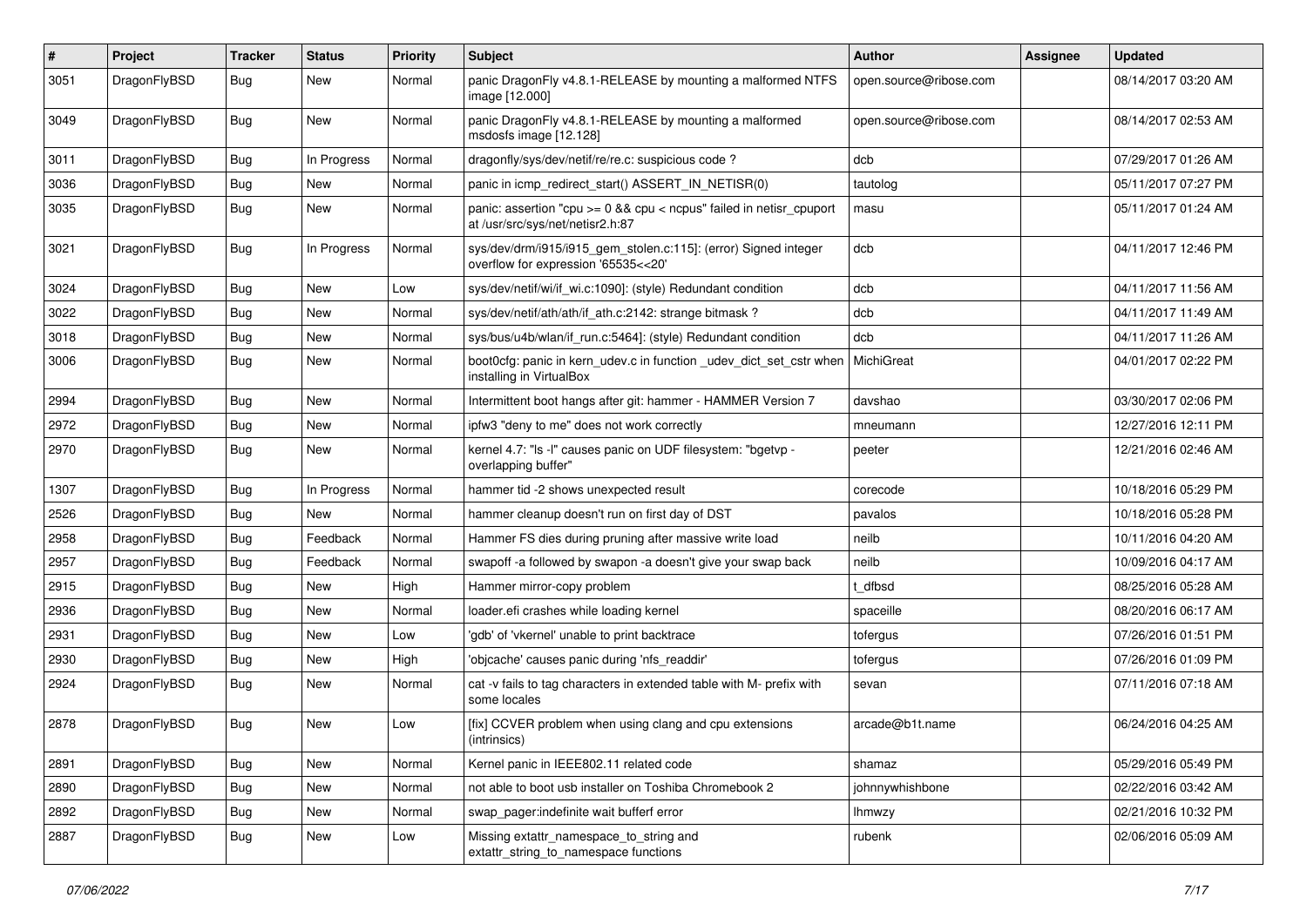| $\#$ | Project      | <b>Tracker</b> | <b>Status</b> | <b>Priority</b> | Subject                                                                                                 | Author                 | Assignee | <b>Updated</b>      |
|------|--------------|----------------|---------------|-----------------|---------------------------------------------------------------------------------------------------------|------------------------|----------|---------------------|
| 3051 | DragonFlyBSD | Bug            | <b>New</b>    | Normal          | panic DragonFly v4.8.1-RELEASE by mounting a malformed NTFS<br>image [12.000]                           | open.source@ribose.com |          | 08/14/2017 03:20 AM |
| 3049 | DragonFlyBSD | <b>Bug</b>     | <b>New</b>    | Normal          | panic DragonFly v4.8.1-RELEASE by mounting a malformed<br>msdosfs image [12.128]                        | open.source@ribose.com |          | 08/14/2017 02:53 AM |
| 3011 | DragonFlyBSD | Bug            | In Progress   | Normal          | dragonfly/sys/dev/netif/re/re.c: suspicious code?                                                       | dcb                    |          | 07/29/2017 01:26 AM |
| 3036 | DragonFlyBSD | <b>Bug</b>     | New           | Normal          | panic in icmp_redirect_start() ASSERT_IN_NETISR(0)                                                      | tautolog               |          | 05/11/2017 07:27 PM |
| 3035 | DragonFlyBSD | Bug            | <b>New</b>    | Normal          | panic: assertion "cpu >= 0 && cpu < ncpus" failed in netisr_cpuport<br>at /usr/src/sys/net/netisr2.h:87 | masu                   |          | 05/11/2017 01:24 AM |
| 3021 | DragonFlyBSD | Bug            | In Progress   | Normal          | sys/dev/drm/i915/i915_gem_stolen.c:115]: (error) Signed integer<br>overflow for expression '65535<<20'  | dcb                    |          | 04/11/2017 12:46 PM |
| 3024 | DragonFlyBSD | Bug            | New           | Low             | sys/dev/netif/wi/if_wi.c:1090]: (style) Redundant condition                                             | dcb                    |          | 04/11/2017 11:56 AM |
| 3022 | DragonFlyBSD | <b>Bug</b>     | New           | Normal          | sys/dev/netif/ath/ath/if ath.c:2142: strange bitmask?                                                   | dcb                    |          | 04/11/2017 11:49 AM |
| 3018 | DragonFlyBSD | Bug            | <b>New</b>    | Normal          | sys/bus/u4b/wlan/if_run.c:5464]: (style) Redundant condition                                            | dcb                    |          | 04/11/2017 11:26 AM |
| 3006 | DragonFlyBSD | <b>Bug</b>     | <b>New</b>    | Normal          | boot0cfg: panic in kern udev.c in function udev dict set cstr when<br>installing in VirtualBox          | MichiGreat             |          | 04/01/2017 02:22 PM |
| 2994 | DragonFlyBSD | Bug            | <b>New</b>    | Normal          | Intermittent boot hangs after git: hammer - HAMMER Version 7                                            | davshao                |          | 03/30/2017 02:06 PM |
| 2972 | DragonFlyBSD | <b>Bug</b>     | New           | Normal          | ipfw3 "deny to me" does not work correctly                                                              | mneumann               |          | 12/27/2016 12:11 PM |
| 2970 | DragonFlyBSD | <b>Bug</b>     | New           | Normal          | kernel 4.7: "Is -I" causes panic on UDF filesystem: "bgetvp -<br>overlapping buffer"                    | peeter                 |          | 12/21/2016 02:46 AM |
| 1307 | DragonFlyBSD | <b>Bug</b>     | In Progress   | Normal          | hammer tid -2 shows unexpected result                                                                   | corecode               |          | 10/18/2016 05:29 PM |
| 2526 | DragonFlyBSD | Bug            | <b>New</b>    | Normal          | hammer cleanup doesn't run on first day of DST                                                          | pavalos                |          | 10/18/2016 05:28 PM |
| 2958 | DragonFlyBSD | Bug            | Feedback      | Normal          | Hammer FS dies during pruning after massive write load                                                  | neilb                  |          | 10/11/2016 04:20 AM |
| 2957 | DragonFlyBSD | <b>Bug</b>     | Feedback      | Normal          | swapoff -a followed by swapon -a doesn't give your swap back                                            | neilb                  |          | 10/09/2016 04:17 AM |
| 2915 | DragonFlyBSD | Bug            | New           | High            | Hammer mirror-copy problem                                                                              | t dfbsd                |          | 08/25/2016 05:28 AM |
| 2936 | DragonFlyBSD | <b>Bug</b>     | New           | Normal          | loader.efi crashes while loading kernel                                                                 | spaceille              |          | 08/20/2016 06:17 AM |
| 2931 | DragonFlyBSD | <b>Bug</b>     | <b>New</b>    | Low             | 'gdb' of 'vkernel' unable to print backtrace                                                            | tofergus               |          | 07/26/2016 01:51 PM |
| 2930 | DragonFlyBSD | Bug            | <b>New</b>    | High            | 'objcache' causes panic during 'nfs readdir'                                                            | tofergus               |          | 07/26/2016 01:09 PM |
| 2924 | DragonFlyBSD | Bug            | New           | Normal          | cat -v fails to tag characters in extended table with M- prefix with<br>some locales                    | sevan                  |          | 07/11/2016 07:18 AM |
| 2878 | DragonFlyBSD | Bug            | <b>New</b>    | Low             | [fix] CCVER problem when using clang and cpu extensions<br>(intrinsics)                                 | arcade@b1t.name        |          | 06/24/2016 04:25 AM |
| 2891 | DragonFlyBSD | Bug            | New           | Normal          | Kernel panic in IEEE802.11 related code                                                                 | shamaz                 |          | 05/29/2016 05:49 PM |
| 2890 | DragonFlyBSD | <b>Bug</b>     | New           | Normal          | not able to boot usb installer on Toshiba Chromebook 2                                                  | johnnywhishbone        |          | 02/22/2016 03:42 AM |
| 2892 | DragonFlyBSD | <b>Bug</b>     | New           | Normal          | swap_pager:indefinite wait bufferf error                                                                | lhmwzy                 |          | 02/21/2016 10:32 PM |
| 2887 | DragonFlyBSD | <b>Bug</b>     | New           | Low             | Missing extattr_namespace_to_string and<br>extattr_string_to_namespace functions                        | rubenk                 |          | 02/06/2016 05:09 AM |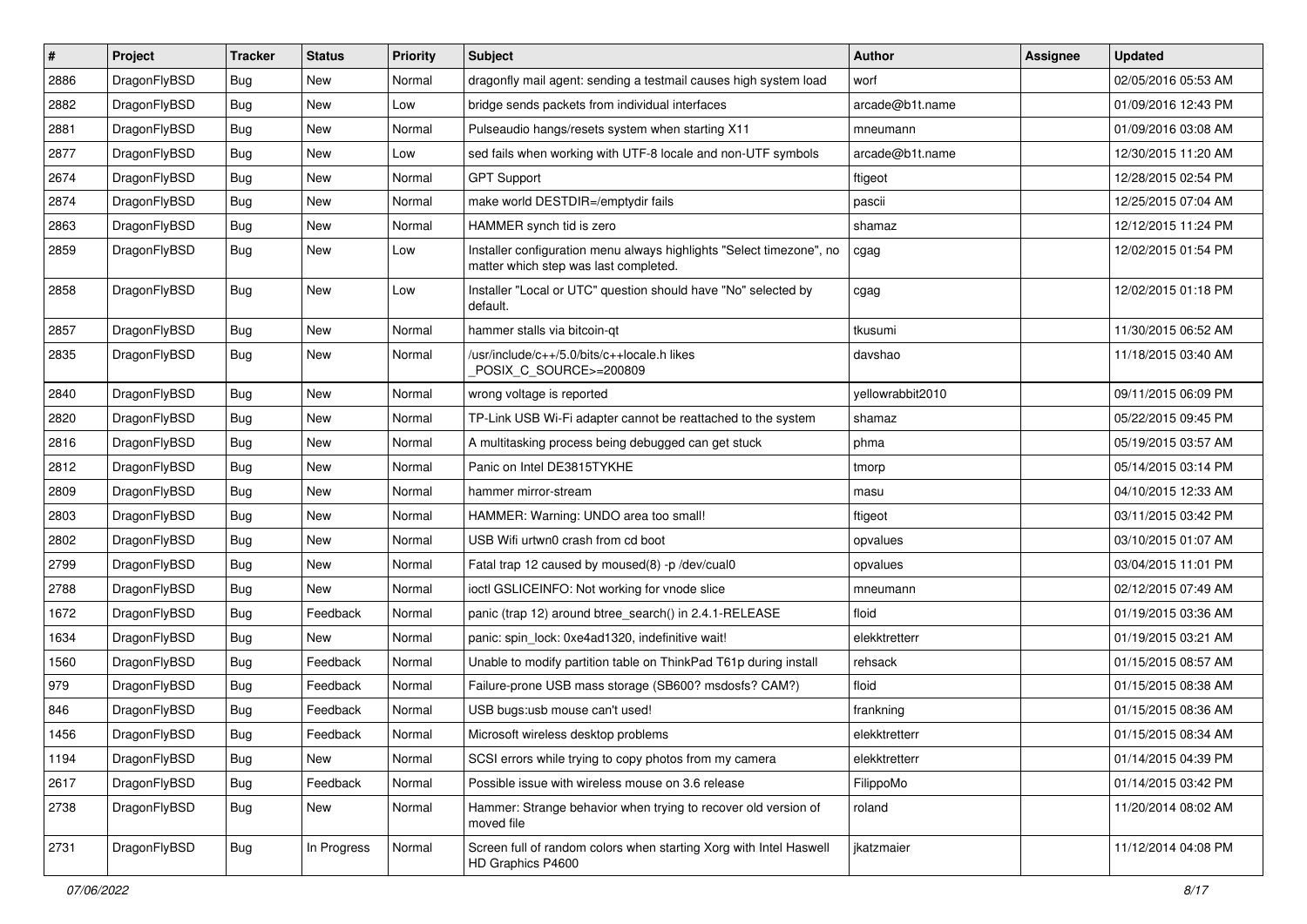| $\sharp$ | Project      | <b>Tracker</b> | <b>Status</b> | <b>Priority</b> | Subject                                                                                                       | <b>Author</b>    | Assignee | <b>Updated</b>      |
|----------|--------------|----------------|---------------|-----------------|---------------------------------------------------------------------------------------------------------------|------------------|----------|---------------------|
| 2886     | DragonFlyBSD | Bug            | New           | Normal          | dragonfly mail agent: sending a testmail causes high system load                                              | worf             |          | 02/05/2016 05:53 AM |
| 2882     | DragonFlyBSD | Bug            | <b>New</b>    | Low             | bridge sends packets from individual interfaces                                                               | arcade@b1t.name  |          | 01/09/2016 12:43 PM |
| 2881     | DragonFlyBSD | <b>Bug</b>     | <b>New</b>    | Normal          | Pulseaudio hangs/resets system when starting X11                                                              | mneumann         |          | 01/09/2016 03:08 AM |
| 2877     | DragonFlyBSD | <b>Bug</b>     | New           | Low             | sed fails when working with UTF-8 locale and non-UTF symbols                                                  | arcade@b1t.name  |          | 12/30/2015 11:20 AM |
| 2674     | DragonFlyBSD | Bug            | <b>New</b>    | Normal          | <b>GPT Support</b>                                                                                            | ftigeot          |          | 12/28/2015 02:54 PM |
| 2874     | DragonFlyBSD | Bug            | New           | Normal          | make world DESTDIR=/emptydir fails                                                                            | pascii           |          | 12/25/2015 07:04 AM |
| 2863     | DragonFlyBSD | <b>Bug</b>     | New           | Normal          | HAMMER synch tid is zero                                                                                      | shamaz           |          | 12/12/2015 11:24 PM |
| 2859     | DragonFlyBSD | <b>Bug</b>     | New           | Low             | Installer configuration menu always highlights "Select timezone", no<br>matter which step was last completed. | cgag             |          | 12/02/2015 01:54 PM |
| 2858     | DragonFlyBSD | <b>Bug</b>     | New           | Low             | Installer "Local or UTC" question should have "No" selected by<br>default.                                    | cgag             |          | 12/02/2015 01:18 PM |
| 2857     | DragonFlyBSD | Bug            | <b>New</b>    | Normal          | hammer stalls via bitcoin-qt                                                                                  | tkusumi          |          | 11/30/2015 06:52 AM |
| 2835     | DragonFlyBSD | Bug            | New           | Normal          | /usr/include/c++/5.0/bits/c++locale.h likes<br>POSIX C SOURCE>=200809                                         | davshao          |          | 11/18/2015 03:40 AM |
| 2840     | DragonFlyBSD | Bug            | New           | Normal          | wrong voltage is reported                                                                                     | yellowrabbit2010 |          | 09/11/2015 06:09 PM |
| 2820     | DragonFlyBSD | Bug            | New           | Normal          | TP-Link USB Wi-Fi adapter cannot be reattached to the system                                                  | shamaz           |          | 05/22/2015 09:45 PM |
| 2816     | DragonFlyBSD | Bug            | <b>New</b>    | Normal          | A multitasking process being debugged can get stuck                                                           | phma             |          | 05/19/2015 03:57 AM |
| 2812     | DragonFlyBSD | Bug            | New           | Normal          | Panic on Intel DE3815TYKHE                                                                                    | tmorp            |          | 05/14/2015 03:14 PM |
| 2809     | DragonFlyBSD | Bug            | <b>New</b>    | Normal          | hammer mirror-stream                                                                                          | masu             |          | 04/10/2015 12:33 AM |
| 2803     | DragonFlyBSD | Bug            | New           | Normal          | HAMMER: Warning: UNDO area too small!                                                                         | ftigeot          |          | 03/11/2015 03:42 PM |
| 2802     | DragonFlyBSD | Bug            | New           | Normal          | USB Wifi urtwn0 crash from cd boot                                                                            | opvalues         |          | 03/10/2015 01:07 AM |
| 2799     | DragonFlyBSD | <b>Bug</b>     | New           | Normal          | Fatal trap 12 caused by moused(8) -p /dev/cual0                                                               | opvalues         |          | 03/04/2015 11:01 PM |
| 2788     | DragonFlyBSD | Bug            | New           | Normal          | ioctl GSLICEINFO: Not working for vnode slice                                                                 | mneumann         |          | 02/12/2015 07:49 AM |
| 1672     | DragonFlyBSD | Bug            | Feedback      | Normal          | panic (trap 12) around btree_search() in 2.4.1-RELEASE                                                        | floid            |          | 01/19/2015 03:36 AM |
| 1634     | DragonFlyBSD | Bug            | New           | Normal          | panic: spin_lock: 0xe4ad1320, indefinitive wait!                                                              | elekktretterr    |          | 01/19/2015 03:21 AM |
| 1560     | DragonFlyBSD | Bug            | Feedback      | Normal          | Unable to modify partition table on ThinkPad T61p during install                                              | rehsack          |          | 01/15/2015 08:57 AM |
| 979      | DragonFlyBSD | Bug            | Feedback      | Normal          | Failure-prone USB mass storage (SB600? msdosfs? CAM?)                                                         | floid            |          | 01/15/2015 08:38 AM |
| 846      | DragonFlyBSD | Bug            | Feedback      | Normal          | USB bugs:usb mouse can't used!                                                                                | frankning        |          | 01/15/2015 08:36 AM |
| 1456     | DragonFlyBSD | Bug            | Feedback      | Normal          | Microsoft wireless desktop problems                                                                           | elekktretterr    |          | 01/15/2015 08:34 AM |
| 1194     | DragonFlyBSD | Bug            | New           | Normal          | SCSI errors while trying to copy photos from my camera                                                        | elekktretterr    |          | 01/14/2015 04:39 PM |
| 2617     | DragonFlyBSD | <b>Bug</b>     | Feedback      | Normal          | Possible issue with wireless mouse on 3.6 release                                                             | FilippoMo        |          | 01/14/2015 03:42 PM |
| 2738     | DragonFlyBSD | <b>Bug</b>     | New           | Normal          | Hammer: Strange behavior when trying to recover old version of<br>moved file                                  | roland           |          | 11/20/2014 08:02 AM |
| 2731     | DragonFlyBSD | <b>Bug</b>     | In Progress   | Normal          | Screen full of random colors when starting Xorg with Intel Haswell<br>HD Graphics P4600                       | jkatzmaier       |          | 11/12/2014 04:08 PM |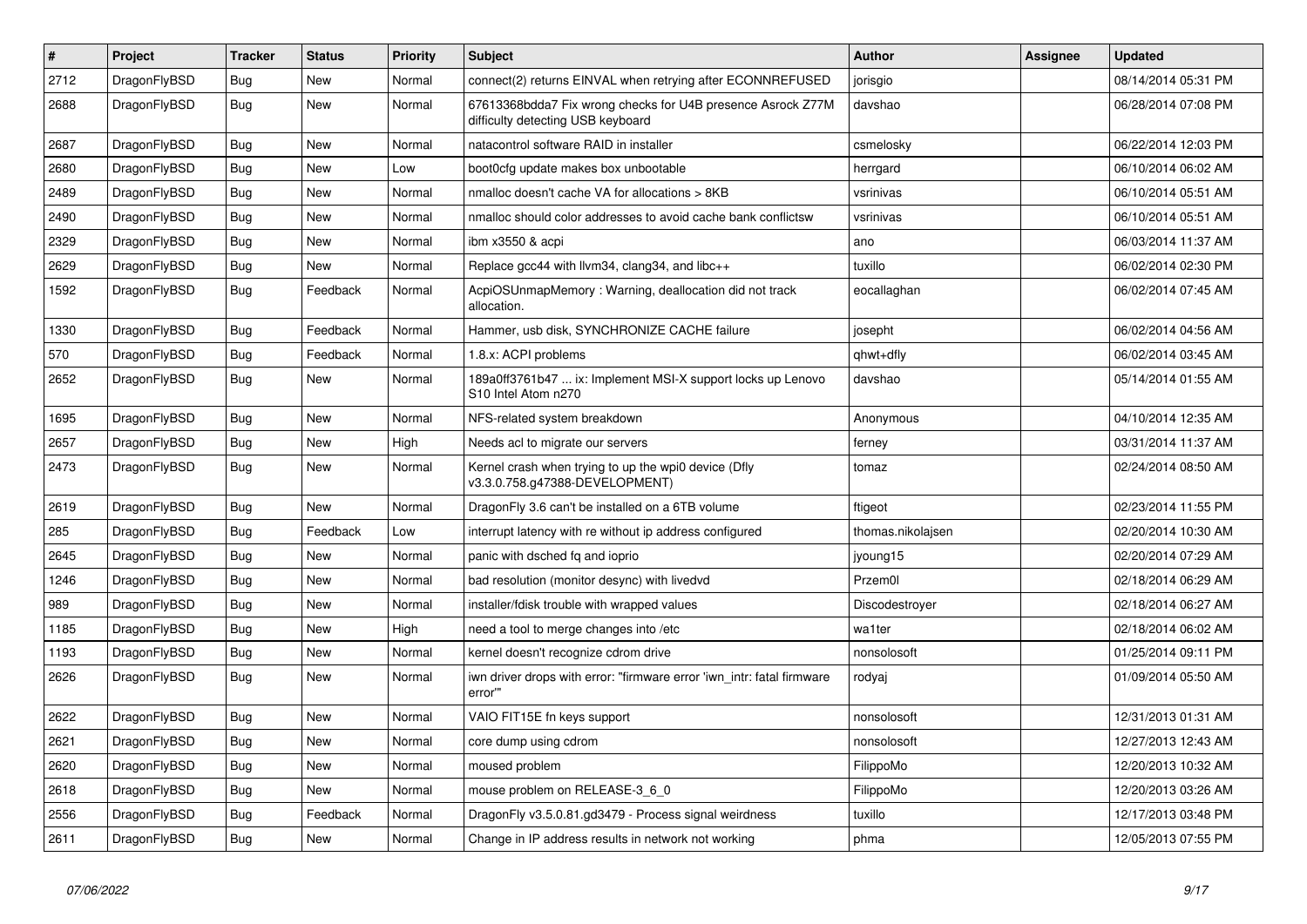| $\vert$ # | <b>Project</b> | <b>Tracker</b> | <b>Status</b> | <b>Priority</b> | <b>Subject</b>                                                                                   | Author            | Assignee | <b>Updated</b>      |
|-----------|----------------|----------------|---------------|-----------------|--------------------------------------------------------------------------------------------------|-------------------|----------|---------------------|
| 2712      | DragonFlyBSD   | Bug            | New           | Normal          | connect(2) returns EINVAL when retrying after ECONNREFUSED                                       | jorisgio          |          | 08/14/2014 05:31 PM |
| 2688      | DragonFlyBSD   | <b>Bug</b>     | <b>New</b>    | Normal          | 67613368bdda7 Fix wrong checks for U4B presence Asrock Z77M<br>difficulty detecting USB keyboard | davshao           |          | 06/28/2014 07:08 PM |
| 2687      | DragonFlyBSD   | <b>Bug</b>     | New           | Normal          | natacontrol software RAID in installer                                                           | csmelosky         |          | 06/22/2014 12:03 PM |
| 2680      | DragonFlyBSD   | Bug            | New           | Low             | boot0cfg update makes box unbootable                                                             | herrgard          |          | 06/10/2014 06:02 AM |
| 2489      | DragonFlyBSD   | Bug            | New           | Normal          | nmalloc doesn't cache VA for allocations > 8KB                                                   | vsrinivas         |          | 06/10/2014 05:51 AM |
| 2490      | DragonFlyBSD   | <b>Bug</b>     | New           | Normal          | nmalloc should color addresses to avoid cache bank conflictsw                                    | vsrinivas         |          | 06/10/2014 05:51 AM |
| 2329      | DragonFlyBSD   | <b>Bug</b>     | <b>New</b>    | Normal          | ibm x3550 & acpi                                                                                 | ano               |          | 06/03/2014 11:37 AM |
| 2629      | DragonFlyBSD   | Bug            | <b>New</b>    | Normal          | Replace gcc44 with llvm34, clang34, and libc++                                                   | tuxillo           |          | 06/02/2014 02:30 PM |
| 1592      | DragonFlyBSD   | Bug            | Feedback      | Normal          | AcpiOSUnmapMemory: Warning, deallocation did not track<br>allocation.                            | eocallaghan       |          | 06/02/2014 07:45 AM |
| 1330      | DragonFlyBSD   | <b>Bug</b>     | Feedback      | Normal          | Hammer, usb disk, SYNCHRONIZE CACHE failure                                                      | josepht           |          | 06/02/2014 04:56 AM |
| 570       | DragonFlyBSD   | <b>Bug</b>     | Feedback      | Normal          | 1.8.x: ACPI problems                                                                             | qhwt+dfly         |          | 06/02/2014 03:45 AM |
| 2652      | DragonFlyBSD   | Bug            | <b>New</b>    | Normal          | 189a0ff3761b47  ix: Implement MSI-X support locks up Lenovo<br>S10 Intel Atom n270               | davshao           |          | 05/14/2014 01:55 AM |
| 1695      | DragonFlyBSD   | <b>Bug</b>     | <b>New</b>    | Normal          | NFS-related system breakdown                                                                     | Anonymous         |          | 04/10/2014 12:35 AM |
| 2657      | DragonFlyBSD   | <b>Bug</b>     | <b>New</b>    | High            | Needs acl to migrate our servers                                                                 | ferney            |          | 03/31/2014 11:37 AM |
| 2473      | DragonFlyBSD   | Bug            | <b>New</b>    | Normal          | Kernel crash when trying to up the wpi0 device (Dfly<br>v3.3.0.758.g47388-DEVELOPMENT)           | tomaz             |          | 02/24/2014 08:50 AM |
| 2619      | DragonFlyBSD   | Bug            | New           | Normal          | DragonFly 3.6 can't be installed on a 6TB volume                                                 | ftigeot           |          | 02/23/2014 11:55 PM |
| 285       | DragonFlyBSD   | Bug            | Feedback      | Low             | interrupt latency with re without ip address configured                                          | thomas.nikolajsen |          | 02/20/2014 10:30 AM |
| 2645      | DragonFlyBSD   | <b>Bug</b>     | New           | Normal          | panic with dsched fq and ioprio                                                                  | jyoung15          |          | 02/20/2014 07:29 AM |
| 1246      | DragonFlyBSD   | Bug            | New           | Normal          | bad resolution (monitor desync) with livedvd                                                     | Przem0l           |          | 02/18/2014 06:29 AM |
| 989       | DragonFlyBSD   | Bug            | <b>New</b>    | Normal          | installer/fdisk trouble with wrapped values                                                      | Discodestroyer    |          | 02/18/2014 06:27 AM |
| 1185      | DragonFlyBSD   | <b>Bug</b>     | <b>New</b>    | High            | need a tool to merge changes into /etc                                                           | wa1ter            |          | 02/18/2014 06:02 AM |
| 1193      | DragonFlyBSD   | <b>Bug</b>     | New           | Normal          | kernel doesn't recognize cdrom drive                                                             | nonsolosoft       |          | 01/25/2014 09:11 PM |
| 2626      | DragonFlyBSD   | Bug            | New           | Normal          | iwn driver drops with error: "firmware error 'iwn intr: fatal firmware<br>error""                | rodyaj            |          | 01/09/2014 05:50 AM |
| 2622      | DragonFlyBSD   | <b>Bug</b>     | <b>New</b>    | Normal          | VAIO FIT15E fn keys support                                                                      | nonsolosoft       |          | 12/31/2013 01:31 AM |
| 2621      | DragonFlyBSD   | <b>Bug</b>     | <b>New</b>    | Normal          | core dump using cdrom                                                                            | nonsolosoft       |          | 12/27/2013 12:43 AM |
| 2620      | DragonFlyBSD   | <b>Bug</b>     | New           | Normal          | moused problem                                                                                   | FilippoMo         |          | 12/20/2013 10:32 AM |
| 2618      | DragonFlyBSD   | Bug            | New           | Normal          | mouse problem on RELEASE-3 6 0                                                                   | FilippoMo         |          | 12/20/2013 03:26 AM |
| 2556      | DragonFlyBSD   | Bug            | Feedback      | Normal          | DragonFly v3.5.0.81.gd3479 - Process signal weirdness                                            | tuxillo           |          | 12/17/2013 03:48 PM |
| 2611      | DragonFlyBSD   | Bug            | New           | Normal          | Change in IP address results in network not working                                              | phma              |          | 12/05/2013 07:55 PM |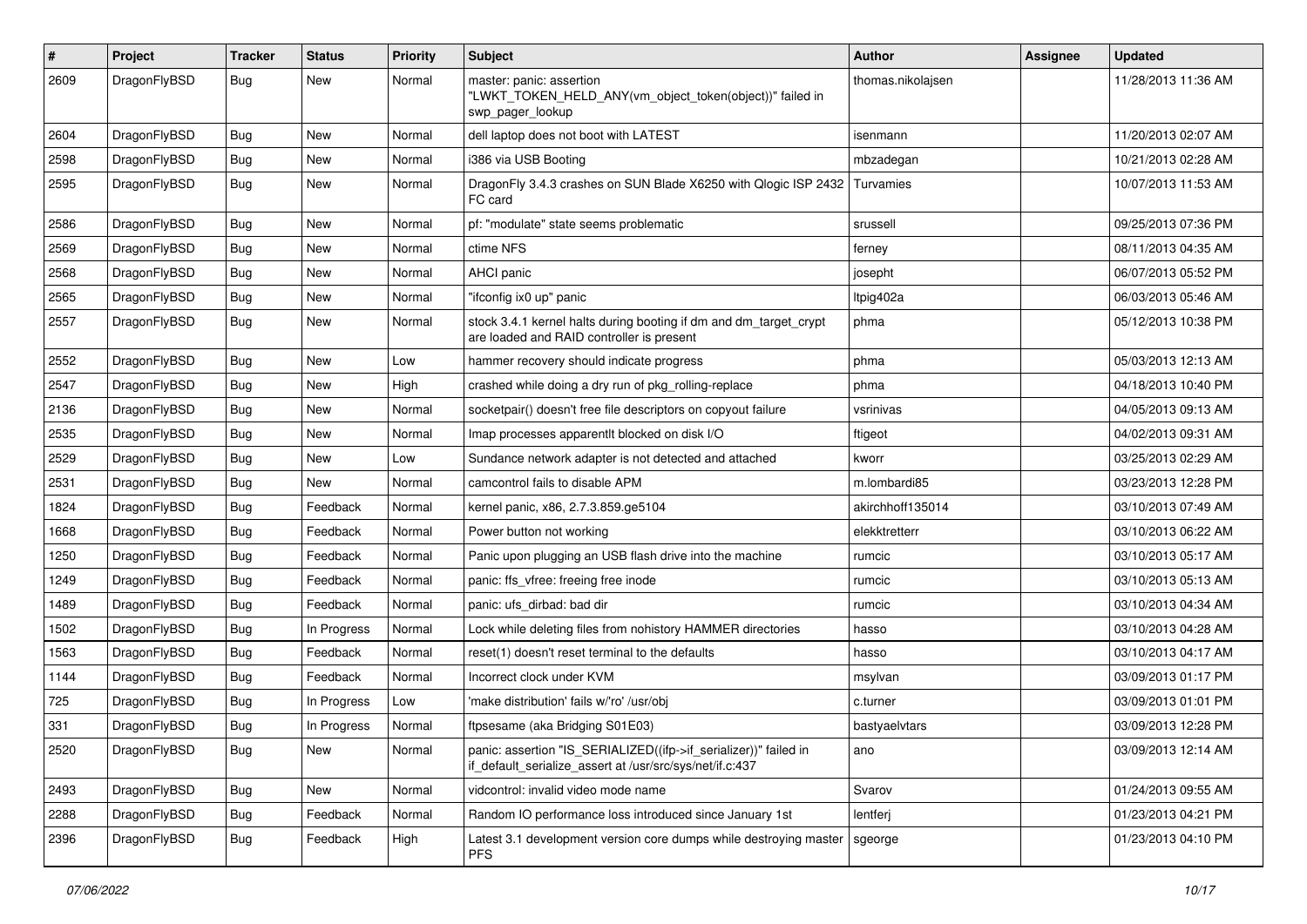| $\pmb{\#}$ | Project      | <b>Tracker</b> | <b>Status</b> | <b>Priority</b> | <b>Subject</b>                                                                                                               | <b>Author</b>     | <b>Assignee</b> | <b>Updated</b>      |
|------------|--------------|----------------|---------------|-----------------|------------------------------------------------------------------------------------------------------------------------------|-------------------|-----------------|---------------------|
| 2609       | DragonFlyBSD | Bug            | New           | Normal          | master: panic: assertion<br>"LWKT_TOKEN_HELD_ANY(vm_object_token(object))" failed in<br>swp_pager_lookup                     | thomas.nikolajsen |                 | 11/28/2013 11:36 AM |
| 2604       | DragonFlyBSD | Bug            | <b>New</b>    | Normal          | dell laptop does not boot with LATEST                                                                                        | isenmann          |                 | 11/20/2013 02:07 AM |
| 2598       | DragonFlyBSD | Bug            | New           | Normal          | i386 via USB Booting                                                                                                         | mbzadegan         |                 | 10/21/2013 02:28 AM |
| 2595       | DragonFlyBSD | <b>Bug</b>     | New           | Normal          | DragonFly 3.4.3 crashes on SUN Blade X6250 with Qlogic ISP 2432<br>FC card                                                   | Turvamies         |                 | 10/07/2013 11:53 AM |
| 2586       | DragonFlyBSD | <b>Bug</b>     | <b>New</b>    | Normal          | pf: "modulate" state seems problematic                                                                                       | srussell          |                 | 09/25/2013 07:36 PM |
| 2569       | DragonFlyBSD | Bug            | New           | Normal          | ctime NFS                                                                                                                    | ferney            |                 | 08/11/2013 04:35 AM |
| 2568       | DragonFlyBSD | <b>Bug</b>     | <b>New</b>    | Normal          | AHCI panic                                                                                                                   | josepht           |                 | 06/07/2013 05:52 PM |
| 2565       | DragonFlyBSD | Bug            | New           | Normal          | "ifconfig ix0 up" panic                                                                                                      | Itpig402a         |                 | 06/03/2013 05:46 AM |
| 2557       | DragonFlyBSD | Bug            | <b>New</b>    | Normal          | stock 3.4.1 kernel halts during booting if dm and dm_target_crypt<br>are loaded and RAID controller is present               | phma              |                 | 05/12/2013 10:38 PM |
| 2552       | DragonFlyBSD | <b>Bug</b>     | New           | Low             | hammer recovery should indicate progress                                                                                     | phma              |                 | 05/03/2013 12:13 AM |
| 2547       | DragonFlyBSD | Bug            | <b>New</b>    | High            | crashed while doing a dry run of pkg_rolling-replace                                                                         | phma              |                 | 04/18/2013 10:40 PM |
| 2136       | DragonFlyBSD | Bug            | New           | Normal          | socketpair() doesn't free file descriptors on copyout failure                                                                | vsrinivas         |                 | 04/05/2013 09:13 AM |
| 2535       | DragonFlyBSD | Bug            | <b>New</b>    | Normal          | Imap processes apparentlt blocked on disk I/O                                                                                | ftigeot           |                 | 04/02/2013 09:31 AM |
| 2529       | DragonFlyBSD | Bug            | <b>New</b>    | Low             | Sundance network adapter is not detected and attached                                                                        | kworr             |                 | 03/25/2013 02:29 AM |
| 2531       | DragonFlyBSD | Bug            | New           | Normal          | camcontrol fails to disable APM                                                                                              | m.lombardi85      |                 | 03/23/2013 12:28 PM |
| 1824       | DragonFlyBSD | Bug            | Feedback      | Normal          | kernel panic, x86, 2.7.3.859.ge5104                                                                                          | akirchhoff135014  |                 | 03/10/2013 07:49 AM |
| 1668       | DragonFlyBSD | Bug            | Feedback      | Normal          | Power button not working                                                                                                     | elekktretterr     |                 | 03/10/2013 06:22 AM |
| 1250       | DragonFlyBSD | Bug            | Feedback      | Normal          | Panic upon plugging an USB flash drive into the machine                                                                      | rumcic            |                 | 03/10/2013 05:17 AM |
| 1249       | DragonFlyBSD | Bug            | Feedback      | Normal          | panic: ffs vfree: freeing free inode                                                                                         | rumcic            |                 | 03/10/2013 05:13 AM |
| 1489       | DragonFlyBSD | Bug            | Feedback      | Normal          | panic: ufs dirbad: bad dir                                                                                                   | rumcic            |                 | 03/10/2013 04:34 AM |
| 1502       | DragonFlyBSD | Bug            | In Progress   | Normal          | Lock while deleting files from nohistory HAMMER directories                                                                  | hasso             |                 | 03/10/2013 04:28 AM |
| 1563       | DragonFlyBSD | Bug            | Feedback      | Normal          | reset(1) doesn't reset terminal to the defaults                                                                              | hasso             |                 | 03/10/2013 04:17 AM |
| 1144       | DragonFlyBSD | Bug            | Feedback      | Normal          | Incorrect clock under KVM                                                                                                    | msylvan           |                 | 03/09/2013 01:17 PM |
| 725        | DragonFlyBSD | Bug            | In Progress   | Low             | 'make distribution' fails w/'ro' /usr/obj                                                                                    | c.turner          |                 | 03/09/2013 01:01 PM |
| 331        | DragonFlyBSD | <b>Bug</b>     | In Progress   | Normal          | ftpsesame (aka Bridging S01E03)                                                                                              | bastyaelvtars     |                 | 03/09/2013 12:28 PM |
| 2520       | DragonFlyBSD | <b>Bug</b>     | New           | Normal          | panic: assertion "IS_SERIALIZED((ifp->if_serializer))" failed in<br>if default serialize assert at /usr/src/sys/net/if.c:437 | ano               |                 | 03/09/2013 12:14 AM |
| 2493       | DragonFlyBSD | <b>Bug</b>     | New           | Normal          | vidcontrol: invalid video mode name                                                                                          | Svarov            |                 | 01/24/2013 09:55 AM |
| 2288       | DragonFlyBSD | Bug            | Feedback      | Normal          | Random IO performance loss introduced since January 1st                                                                      | lentferj          |                 | 01/23/2013 04:21 PM |
| 2396       | DragonFlyBSD | Bug            | Feedback      | High            | Latest 3.1 development version core dumps while destroying master<br><b>PFS</b>                                              | sgeorge           |                 | 01/23/2013 04:10 PM |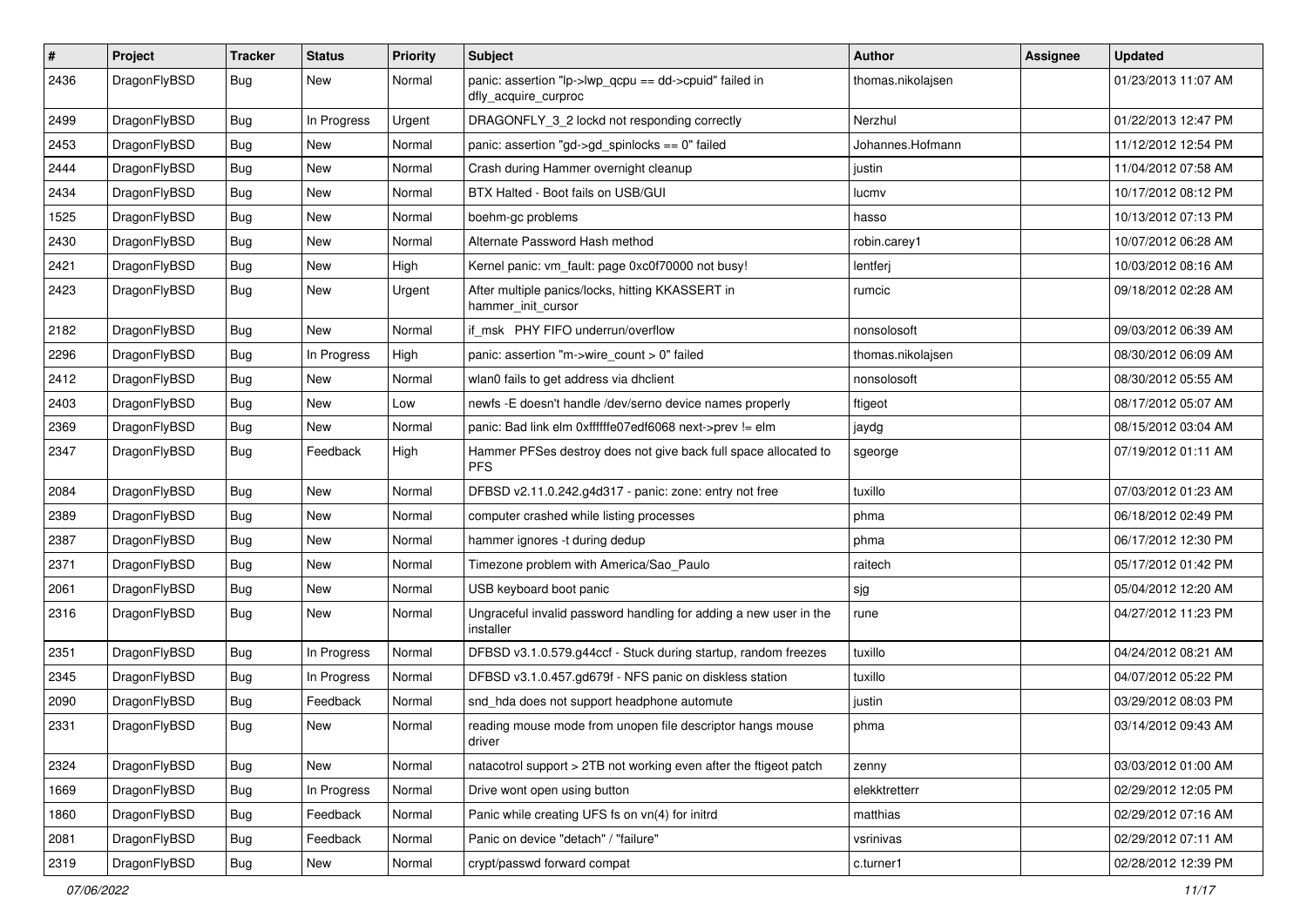| $\sharp$ | Project      | <b>Tracker</b> | <b>Status</b> | <b>Priority</b> | Subject                                                                        | Author            | Assignee | <b>Updated</b>      |
|----------|--------------|----------------|---------------|-----------------|--------------------------------------------------------------------------------|-------------------|----------|---------------------|
| 2436     | DragonFlyBSD | Bug            | New           | Normal          | panic: assertion "lp->lwp_qcpu == dd->cpuid" failed in<br>dfly_acquire_curproc | thomas.nikolajsen |          | 01/23/2013 11:07 AM |
| 2499     | DragonFlyBSD | Bug            | In Progress   | Urgent          | DRAGONFLY 3 2 lockd not responding correctly                                   | Nerzhul           |          | 01/22/2013 12:47 PM |
| 2453     | DragonFlyBSD | <b>Bug</b>     | New           | Normal          | panic: assertion "gd->gd_spinlocks == 0" failed                                | Johannes.Hofmann  |          | 11/12/2012 12:54 PM |
| 2444     | DragonFlyBSD | Bug            | <b>New</b>    | Normal          | Crash during Hammer overnight cleanup                                          | justin            |          | 11/04/2012 07:58 AM |
| 2434     | DragonFlyBSD | <b>Bug</b>     | New           | Normal          | BTX Halted - Boot fails on USB/GUI                                             | lucmv             |          | 10/17/2012 08:12 PM |
| 1525     | DragonFlyBSD | <b>Bug</b>     | <b>New</b>    | Normal          | boehm-gc problems                                                              | hasso             |          | 10/13/2012 07:13 PM |
| 2430     | DragonFlyBSD | Bug            | <b>New</b>    | Normal          | Alternate Password Hash method                                                 | robin.carey1      |          | 10/07/2012 06:28 AM |
| 2421     | DragonFlyBSD | <b>Bug</b>     | New           | High            | Kernel panic: vm_fault: page 0xc0f70000 not busy!                              | lentferj          |          | 10/03/2012 08:16 AM |
| 2423     | DragonFlyBSD | <b>Bug</b>     | New           | Urgent          | After multiple panics/locks, hitting KKASSERT in<br>hammer init cursor         | rumcic            |          | 09/18/2012 02:28 AM |
| 2182     | DragonFlyBSD | Bug            | <b>New</b>    | Normal          | if_msk PHY FIFO underrun/overflow                                              | nonsolosoft       |          | 09/03/2012 06:39 AM |
| 2296     | DragonFlyBSD | <b>Bug</b>     | In Progress   | High            | panic: assertion "m->wire_count > 0" failed                                    | thomas.nikolajsen |          | 08/30/2012 06:09 AM |
| 2412     | DragonFlyBSD | <b>Bug</b>     | New           | Normal          | wlan0 fails to get address via dhclient                                        | nonsolosoft       |          | 08/30/2012 05:55 AM |
| 2403     | DragonFlyBSD | <b>Bug</b>     | <b>New</b>    | Low             | newfs -E doesn't handle /dev/serno device names properly                       | ftigeot           |          | 08/17/2012 05:07 AM |
| 2369     | DragonFlyBSD | <b>Bug</b>     | New           | Normal          | panic: Bad link elm 0xffffffe07edf6068 next->prev != elm                       | jaydg             |          | 08/15/2012 03:04 AM |
| 2347     | DragonFlyBSD | Bug            | Feedback      | High            | Hammer PFSes destroy does not give back full space allocated to<br><b>PFS</b>  | sgeorge           |          | 07/19/2012 01:11 AM |
| 2084     | DragonFlyBSD | Bug            | <b>New</b>    | Normal          | DFBSD v2.11.0.242.g4d317 - panic: zone: entry not free                         | tuxillo           |          | 07/03/2012 01:23 AM |
| 2389     | DragonFlyBSD | <b>Bug</b>     | <b>New</b>    | Normal          | computer crashed while listing processes                                       | phma              |          | 06/18/2012 02:49 PM |
| 2387     | DragonFlyBSD | <b>Bug</b>     | New           | Normal          | hammer ignores -t during dedup                                                 | phma              |          | 06/17/2012 12:30 PM |
| 2371     | DragonFlyBSD | <b>Bug</b>     | New           | Normal          | Timezone problem with America/Sao_Paulo                                        | raitech           |          | 05/17/2012 01:42 PM |
| 2061     | DragonFlyBSD | <b>Bug</b>     | <b>New</b>    | Normal          | USB keyboard boot panic                                                        | sjg               |          | 05/04/2012 12:20 AM |
| 2316     | DragonFlyBSD | Bug            | New           | Normal          | Ungraceful invalid password handling for adding a new user in the<br>installer | rune              |          | 04/27/2012 11:23 PM |
| 2351     | DragonFlyBSD | Bug            | In Progress   | Normal          | DFBSD v3.1.0.579.g44ccf - Stuck during startup, random freezes                 | tuxillo           |          | 04/24/2012 08:21 AM |
| 2345     | DragonFlyBSD | Bug            | In Progress   | Normal          | DFBSD v3.1.0.457.gd679f - NFS panic on diskless station                        | tuxillo           |          | 04/07/2012 05:22 PM |
| 2090     | DragonFlyBSD | <b>Bug</b>     | Feedback      | Normal          | snd_hda does not support headphone automute                                    | justin            |          | 03/29/2012 08:03 PM |
| 2331     | DragonFlyBSD | <b>Bug</b>     | New           | Normal          | reading mouse mode from unopen file descriptor hangs mouse<br>driver           | phma              |          | 03/14/2012 09:43 AM |
| 2324     | DragonFlyBSD | <b>Bug</b>     | New           | Normal          | natacotrol support > 2TB not working even after the ftigeot patch              | zenny             |          | 03/03/2012 01:00 AM |
| 1669     | DragonFlyBSD | <b>Bug</b>     | In Progress   | Normal          | Drive wont open using button                                                   | elekktretterr     |          | 02/29/2012 12:05 PM |
| 1860     | DragonFlyBSD | <b>Bug</b>     | Feedback      | Normal          | Panic while creating UFS fs on vn(4) for initrd                                | matthias          |          | 02/29/2012 07:16 AM |
| 2081     | DragonFlyBSD | <b>Bug</b>     | Feedback      | Normal          | Panic on device "detach" / "failure"                                           | vsrinivas         |          | 02/29/2012 07:11 AM |
| 2319     | DragonFlyBSD | <b>Bug</b>     | New           | Normal          | crypt/passwd forward compat                                                    | c.turner1         |          | 02/28/2012 12:39 PM |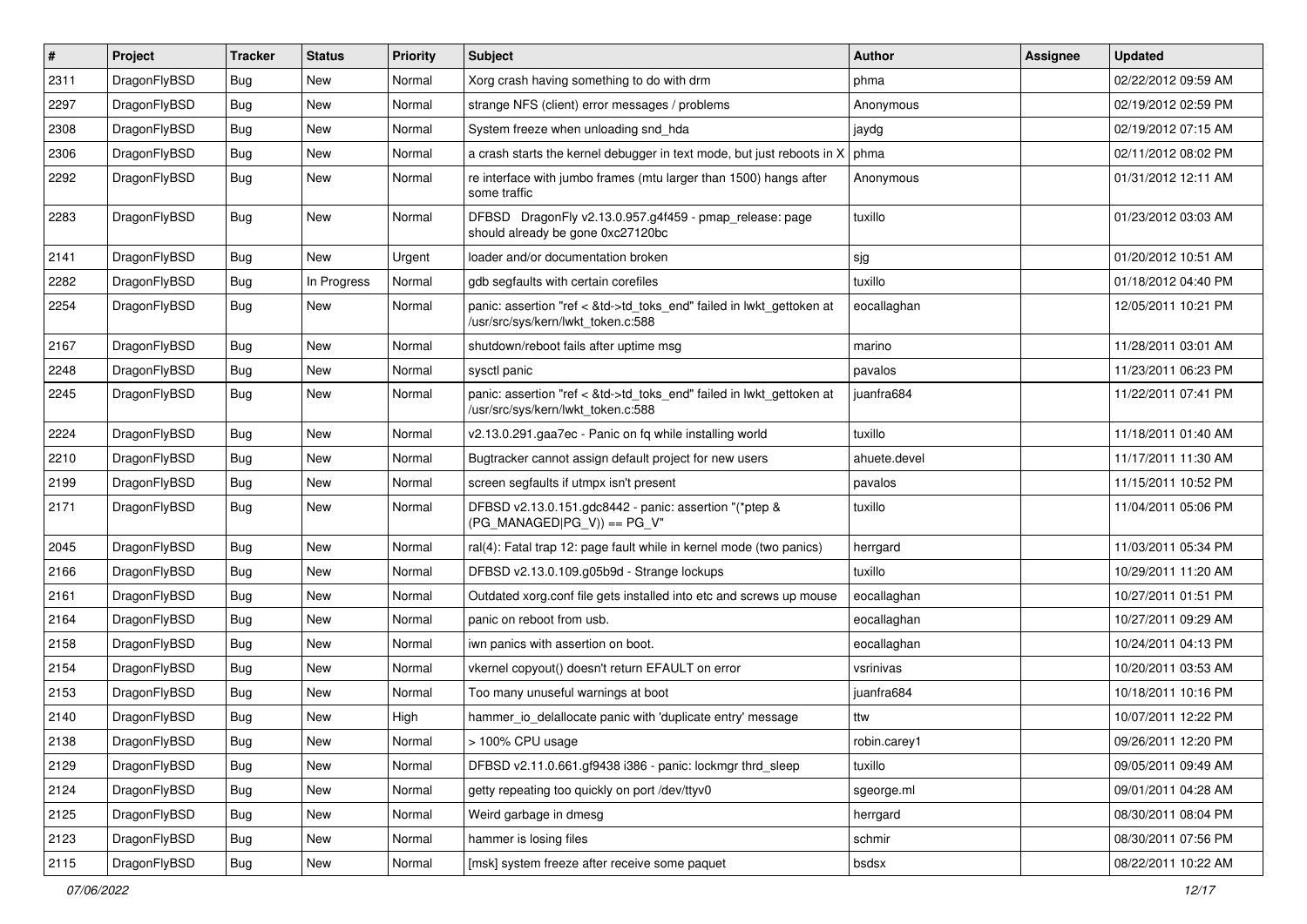| $\sharp$ | Project      | <b>Tracker</b> | <b>Status</b> | <b>Priority</b> | Subject                                                                                                    | <b>Author</b> | Assignee | <b>Updated</b>      |
|----------|--------------|----------------|---------------|-----------------|------------------------------------------------------------------------------------------------------------|---------------|----------|---------------------|
| 2311     | DragonFlyBSD | <b>Bug</b>     | New           | Normal          | Xorg crash having something to do with drm                                                                 | phma          |          | 02/22/2012 09:59 AM |
| 2297     | DragonFlyBSD | Bug            | New           | Normal          | strange NFS (client) error messages / problems                                                             | Anonymous     |          | 02/19/2012 02:59 PM |
| 2308     | DragonFlyBSD | Bug            | New           | Normal          | System freeze when unloading snd_hda                                                                       | jaydg         |          | 02/19/2012 07:15 AM |
| 2306     | DragonFlyBSD | Bug            | New           | Normal          | a crash starts the kernel debugger in text mode, but just reboots in X                                     | phma          |          | 02/11/2012 08:02 PM |
| 2292     | DragonFlyBSD | Bug            | <b>New</b>    | Normal          | re interface with jumbo frames (mtu larger than 1500) hangs after<br>some traffic                          | Anonymous     |          | 01/31/2012 12:11 AM |
| 2283     | DragonFlyBSD | Bug            | New           | Normal          | DFBSD DragonFly v2.13.0.957.g4f459 - pmap_release: page<br>should already be gone 0xc27120bc               | tuxillo       |          | 01/23/2012 03:03 AM |
| 2141     | DragonFlyBSD | Bug            | <b>New</b>    | Urgent          | loader and/or documentation broken                                                                         | sjg           |          | 01/20/2012 10:51 AM |
| 2282     | DragonFlyBSD | <b>Bug</b>     | In Progress   | Normal          | gdb segfaults with certain corefiles                                                                       | tuxillo       |          | 01/18/2012 04:40 PM |
| 2254     | DragonFlyBSD | <b>Bug</b>     | <b>New</b>    | Normal          | panic: assertion "ref < &td->td_toks_end" failed in lwkt_gettoken at<br>/usr/src/sys/kern/lwkt_token.c:588 | eocallaghan   |          | 12/05/2011 10:21 PM |
| 2167     | DragonFlyBSD | Bug            | <b>New</b>    | Normal          | shutdown/reboot fails after uptime msg                                                                     | marino        |          | 11/28/2011 03:01 AM |
| 2248     | DragonFlyBSD | <b>Bug</b>     | New           | Normal          | sysctl panic                                                                                               | pavalos       |          | 11/23/2011 06:23 PM |
| 2245     | DragonFlyBSD | <b>Bug</b>     | <b>New</b>    | Normal          | panic: assertion "ref < &td->td_toks_end" failed in lwkt_gettoken at<br>/usr/src/sys/kern/lwkt_token.c:588 | juanfra684    |          | 11/22/2011 07:41 PM |
| 2224     | DragonFlyBSD | Bug            | <b>New</b>    | Normal          | v2.13.0.291.gaa7ec - Panic on fq while installing world                                                    | tuxillo       |          | 11/18/2011 01:40 AM |
| 2210     | DragonFlyBSD | <b>Bug</b>     | New           | Normal          | Bugtracker cannot assign default project for new users                                                     | ahuete.devel  |          | 11/17/2011 11:30 AM |
| 2199     | DragonFlyBSD | <b>Bug</b>     | <b>New</b>    | Normal          | screen segfaults if utmpx isn't present                                                                    | pavalos       |          | 11/15/2011 10:52 PM |
| 2171     | DragonFlyBSD | <b>Bug</b>     | New           | Normal          | DFBSD v2.13.0.151.gdc8442 - panic: assertion "(*ptep &<br>$(PG_MANAGED PG_V)) == PG_V"$                    | tuxillo       |          | 11/04/2011 05:06 PM |
| 2045     | DragonFlyBSD | Bug            | New           | Normal          | ral(4): Fatal trap 12: page fault while in kernel mode (two panics)                                        | herrgard      |          | 11/03/2011 05:34 PM |
| 2166     | DragonFlyBSD | Bug            | New           | Normal          | DFBSD v2.13.0.109.g05b9d - Strange lockups                                                                 | tuxillo       |          | 10/29/2011 11:20 AM |
| 2161     | DragonFlyBSD | Bug            | New           | Normal          | Outdated xorg.conf file gets installed into etc and screws up mouse                                        | eocallaghan   |          | 10/27/2011 01:51 PM |
| 2164     | DragonFlyBSD | Bug            | New           | Normal          | panic on reboot from usb.                                                                                  | eocallaghan   |          | 10/27/2011 09:29 AM |
| 2158     | DragonFlyBSD | Bug            | <b>New</b>    | Normal          | iwn panics with assertion on boot.                                                                         | eocallaghan   |          | 10/24/2011 04:13 PM |
| 2154     | DragonFlyBSD | Bug            | New           | Normal          | vkernel copyout() doesn't return EFAULT on error                                                           | vsrinivas     |          | 10/20/2011 03:53 AM |
| 2153     | DragonFlyBSD | Bug            | New           | Normal          | Too many unuseful warnings at boot                                                                         | juanfra684    |          | 10/18/2011 10:16 PM |
| 2140     | DragonFlyBSD | Bug            | New           | High            | hammer_io_delallocate panic with 'duplicate entry' message                                                 | ttw           |          | 10/07/2011 12:22 PM |
| 2138     | DragonFlyBSD | <b>Bug</b>     | New           | Normal          | > 100% CPU usage                                                                                           | robin.carey1  |          | 09/26/2011 12:20 PM |
| 2129     | DragonFlyBSD | <b>Bug</b>     | New           | Normal          | DFBSD v2.11.0.661.gf9438 i386 - panic: lockmgr thrd_sleep                                                  | tuxillo       |          | 09/05/2011 09:49 AM |
| 2124     | DragonFlyBSD | <b>Bug</b>     | New           | Normal          | getty repeating too quickly on port /dev/ttyv0                                                             | sgeorge.ml    |          | 09/01/2011 04:28 AM |
| 2125     | DragonFlyBSD | <b>Bug</b>     | New           | Normal          | Weird garbage in dmesg                                                                                     | herrgard      |          | 08/30/2011 08:04 PM |
| 2123     | DragonFlyBSD | <b>Bug</b>     | <b>New</b>    | Normal          | hammer is losing files                                                                                     | schmir        |          | 08/30/2011 07:56 PM |
| 2115     | DragonFlyBSD | <b>Bug</b>     | New           | Normal          | [msk] system freeze after receive some paquet                                                              | bsdsx         |          | 08/22/2011 10:22 AM |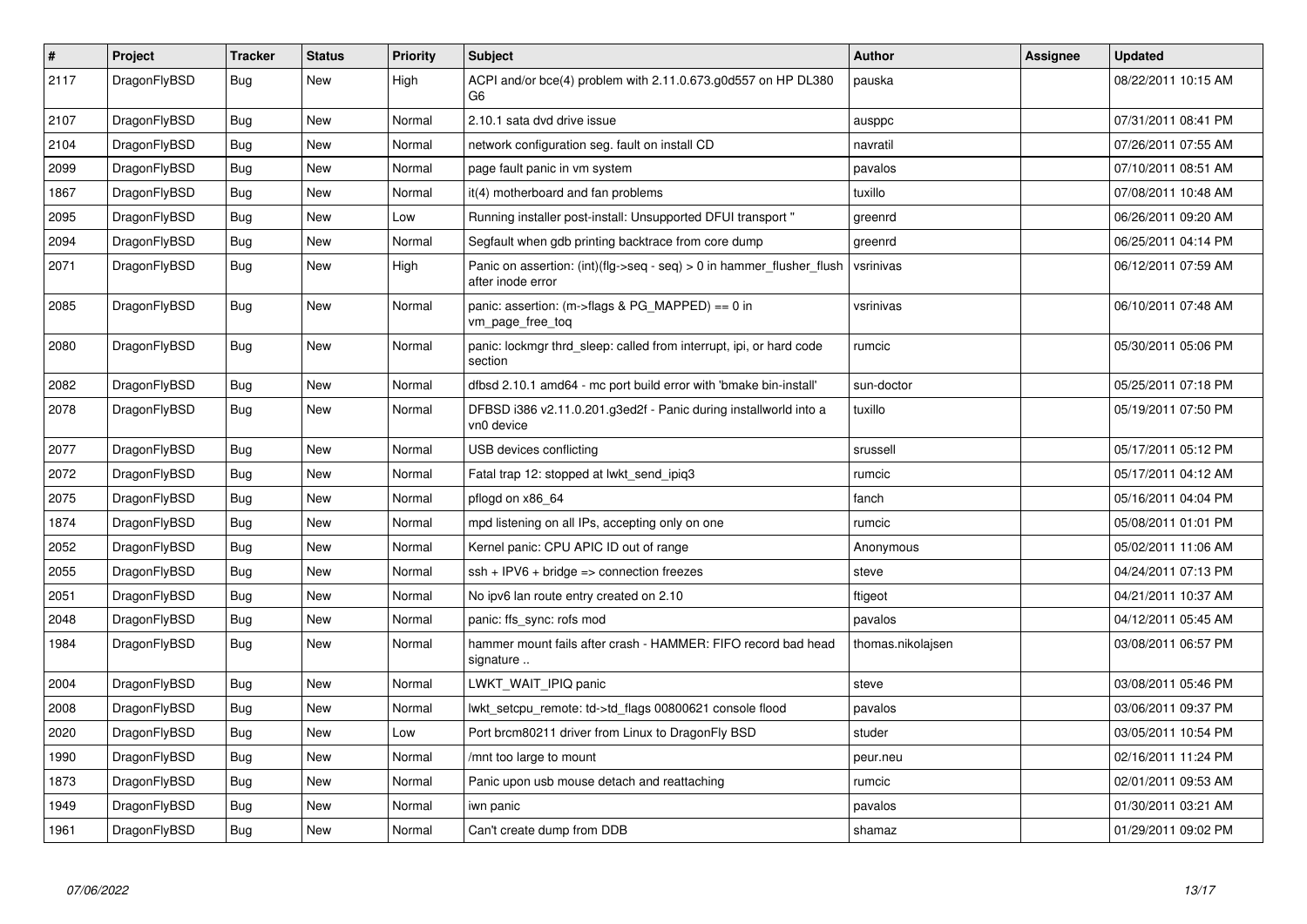| $\vert$ # | <b>Project</b> | <b>Tracker</b> | <b>Status</b> | <b>Priority</b> | <b>Subject</b>                                                                                | <b>Author</b>     | Assignee | <b>Updated</b>      |
|-----------|----------------|----------------|---------------|-----------------|-----------------------------------------------------------------------------------------------|-------------------|----------|---------------------|
| 2117      | DragonFlyBSD   | <b>Bug</b>     | New           | High            | ACPI and/or bce(4) problem with 2.11.0.673.g0d557 on HP DL380<br>G6.                          | pauska            |          | 08/22/2011 10:15 AM |
| 2107      | DragonFlyBSD   | Bug            | New           | Normal          | 2.10.1 sata dvd drive issue                                                                   | ausppc            |          | 07/31/2011 08:41 PM |
| 2104      | DragonFlyBSD   | <b>Bug</b>     | New           | Normal          | network configuration seg. fault on install CD                                                | navratil          |          | 07/26/2011 07:55 AM |
| 2099      | DragonFlyBSD   | Bug            | New           | Normal          | page fault panic in vm system                                                                 | pavalos           |          | 07/10/2011 08:51 AM |
| 1867      | DragonFlyBSD   | <b>Bug</b>     | New           | Normal          | it(4) motherboard and fan problems                                                            | tuxillo           |          | 07/08/2011 10:48 AM |
| 2095      | DragonFlyBSD   | Bug            | New           | Low             | Running installer post-install: Unsupported DFUI transport "                                  | greenrd           |          | 06/26/2011 09:20 AM |
| 2094      | DragonFlyBSD   | <b>Bug</b>     | New           | Normal          | Segfault when gdb printing backtrace from core dump                                           | greenrd           |          | 06/25/2011 04:14 PM |
| 2071      | DragonFlyBSD   | Bug            | New           | High            | Panic on assertion: $(int)(flag->seq - seq) > 0$ in hammer flusher flush<br>after inode error | vsrinivas         |          | 06/12/2011 07:59 AM |
| 2085      | DragonFlyBSD   | <b>Bug</b>     | <b>New</b>    | Normal          | panic: assertion: (m->flags & PG_MAPPED) == 0 in<br>vm_page_free_toq                          | vsrinivas         |          | 06/10/2011 07:48 AM |
| 2080      | DragonFlyBSD   | <b>Bug</b>     | <b>New</b>    | Normal          | panic: lockmgr thrd sleep: called from interrupt, ipi, or hard code<br>section                | rumcic            |          | 05/30/2011 05:06 PM |
| 2082      | DragonFlyBSD   | Bug            | <b>New</b>    | Normal          | dfbsd 2.10.1 amd64 - mc port build error with 'bmake bin-install'                             | sun-doctor        |          | 05/25/2011 07:18 PM |
| 2078      | DragonFlyBSD   | Bug            | New           | Normal          | DFBSD i386 v2.11.0.201.g3ed2f - Panic during installworld into a<br>vn0 device                | tuxillo           |          | 05/19/2011 07:50 PM |
| 2077      | DragonFlyBSD   | Bug            | New           | Normal          | USB devices conflicting                                                                       | srussell          |          | 05/17/2011 05:12 PM |
| 2072      | DragonFlyBSD   | <b>Bug</b>     | <b>New</b>    | Normal          | Fatal trap 12: stopped at lwkt_send_ipiq3                                                     | rumcic            |          | 05/17/2011 04:12 AM |
| 2075      | DragonFlyBSD   | <b>Bug</b>     | New           | Normal          | pflogd on x86 64                                                                              | fanch             |          | 05/16/2011 04:04 PM |
| 1874      | DragonFlyBSD   | <b>Bug</b>     | <b>New</b>    | Normal          | mpd listening on all IPs, accepting only on one                                               | rumcic            |          | 05/08/2011 01:01 PM |
| 2052      | DragonFlyBSD   | Bug            | New           | Normal          | Kernel panic: CPU APIC ID out of range                                                        | Anonymous         |          | 05/02/2011 11:06 AM |
| 2055      | DragonFlyBSD   | <b>Bug</b>     | <b>New</b>    | Normal          | $ssh + IPV6 + bridge \Rightarrow$ connection freezes                                          | steve             |          | 04/24/2011 07:13 PM |
| 2051      | DragonFlyBSD   | Bug            | <b>New</b>    | Normal          | No ipv6 lan route entry created on 2.10                                                       | ftigeot           |          | 04/21/2011 10:37 AM |
| 2048      | DragonFlyBSD   | Bug            | <b>New</b>    | Normal          | panic: ffs sync: rofs mod                                                                     | pavalos           |          | 04/12/2011 05:45 AM |
| 1984      | DragonFlyBSD   | <b>Bug</b>     | <b>New</b>    | Normal          | hammer mount fails after crash - HAMMER: FIFO record bad head<br>signature                    | thomas.nikolajsen |          | 03/08/2011 06:57 PM |
| 2004      | DragonFlyBSD   | <b>Bug</b>     | <b>New</b>    | Normal          | LWKT_WAIT_IPIQ panic                                                                          | steve             |          | 03/08/2011 05:46 PM |
| 2008      | DragonFlyBSD   | Bug            | New           | Normal          | lwkt setcpu remote: td->td flags 00800621 console flood                                       | pavalos           |          | 03/06/2011 09:37 PM |
| 2020      | DragonFlyBSD   | <b>Bug</b>     | New           | Low             | Port brcm80211 driver from Linux to DragonFly BSD                                             | studer            |          | 03/05/2011 10:54 PM |
| 1990      | DragonFlyBSD   | Bug            | New           | Normal          | /mnt too large to mount                                                                       | peur.neu          |          | 02/16/2011 11:24 PM |
| 1873      | DragonFlyBSD   | <b>Bug</b>     | New           | Normal          | Panic upon usb mouse detach and reattaching                                                   | rumcic            |          | 02/01/2011 09:53 AM |
| 1949      | DragonFlyBSD   | Bug            | New           | Normal          | iwn panic                                                                                     | pavalos           |          | 01/30/2011 03:21 AM |
| 1961      | DragonFlyBSD   | Bug            | New           | Normal          | Can't create dump from DDB                                                                    | shamaz            |          | 01/29/2011 09:02 PM |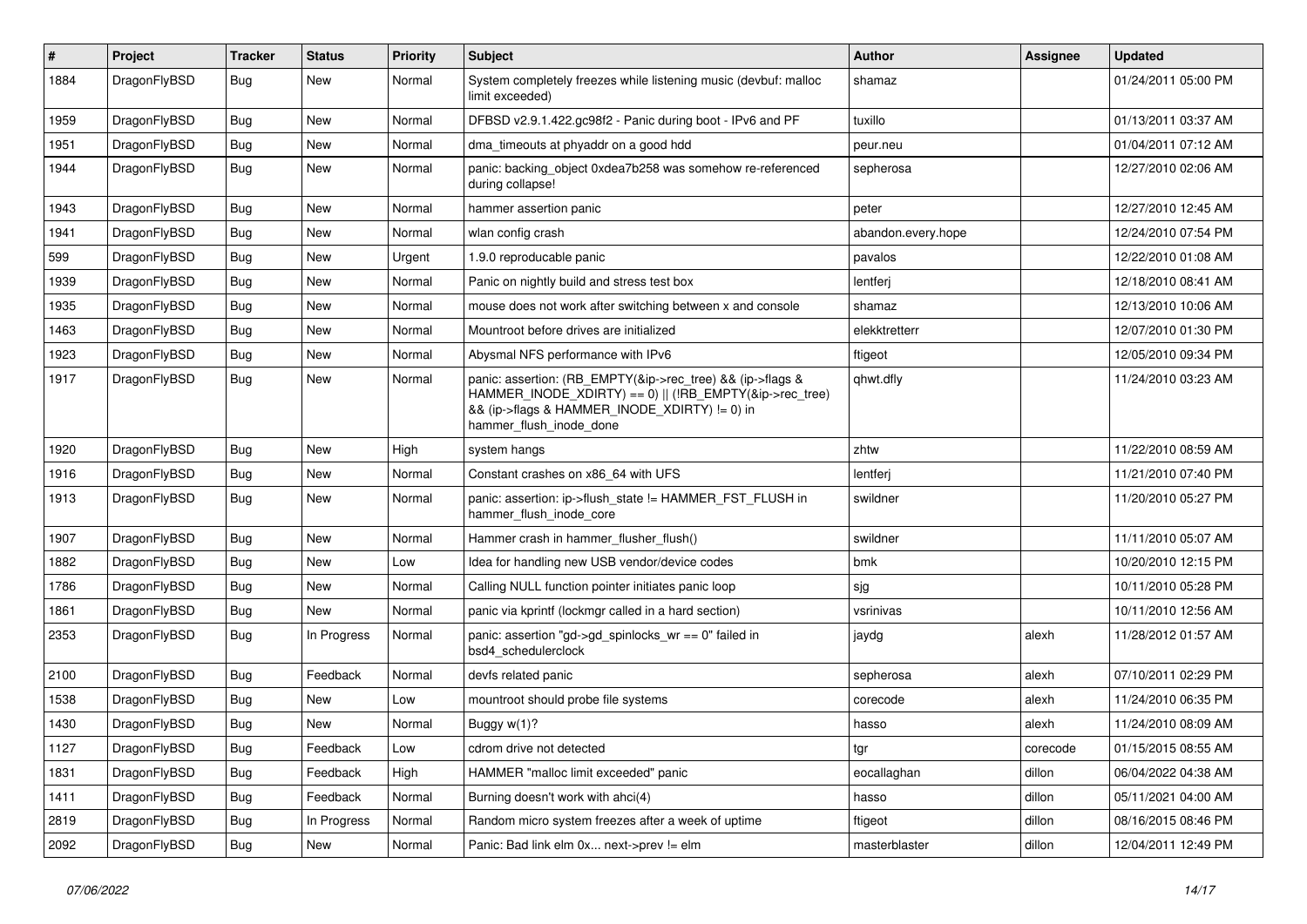| #    | Project      | <b>Tracker</b> | <b>Status</b> | <b>Priority</b> | <b>Subject</b>                                                                                                                                                                                    | <b>Author</b>      | <b>Assignee</b> | <b>Updated</b>      |
|------|--------------|----------------|---------------|-----------------|---------------------------------------------------------------------------------------------------------------------------------------------------------------------------------------------------|--------------------|-----------------|---------------------|
| 1884 | DragonFlyBSD | Bug            | New           | Normal          | System completely freezes while listening music (devbuf: malloc<br>limit exceeded)                                                                                                                | shamaz             |                 | 01/24/2011 05:00 PM |
| 1959 | DragonFlyBSD | Bug            | <b>New</b>    | Normal          | DFBSD v2.9.1.422.gc98f2 - Panic during boot - IPv6 and PF                                                                                                                                         | tuxillo            |                 | 01/13/2011 03:37 AM |
| 1951 | DragonFlyBSD | Bug            | New           | Normal          | dma_timeouts at phyaddr on a good hdd                                                                                                                                                             | peur.neu           |                 | 01/04/2011 07:12 AM |
| 1944 | DragonFlyBSD | Bug            | New           | Normal          | panic: backing_object 0xdea7b258 was somehow re-referenced<br>during collapse!                                                                                                                    | sepherosa          |                 | 12/27/2010 02:06 AM |
| 1943 | DragonFlyBSD | Bug            | <b>New</b>    | Normal          | hammer assertion panic                                                                                                                                                                            | peter              |                 | 12/27/2010 12:45 AM |
| 1941 | DragonFlyBSD | Bug            | New           | Normal          | wlan config crash                                                                                                                                                                                 | abandon.every.hope |                 | 12/24/2010 07:54 PM |
| 599  | DragonFlyBSD | Bug            | New           | Urgent          | 1.9.0 reproducable panic                                                                                                                                                                          | pavalos            |                 | 12/22/2010 01:08 AM |
| 1939 | DragonFlyBSD | Bug            | <b>New</b>    | Normal          | Panic on nightly build and stress test box                                                                                                                                                        | lentferj           |                 | 12/18/2010 08:41 AM |
| 1935 | DragonFlyBSD | Bug            | New           | Normal          | mouse does not work after switching between x and console                                                                                                                                         | shamaz             |                 | 12/13/2010 10:06 AM |
| 1463 | DragonFlyBSD | Bug            | New           | Normal          | Mountroot before drives are initialized                                                                                                                                                           | elekktretterr      |                 | 12/07/2010 01:30 PM |
| 1923 | DragonFlyBSD | Bug            | New           | Normal          | Abysmal NFS performance with IPv6                                                                                                                                                                 | ftigeot            |                 | 12/05/2010 09:34 PM |
| 1917 | DragonFlyBSD | Bug            | <b>New</b>    | Normal          | panic: assertion: (RB_EMPTY(&ip->rec_tree) && (ip->flags &<br>HAMMER_INODE_XDIRTY) == 0)    (!RB_EMPTY(&ip->rec_tree)<br>&& (ip->flags & HAMMER INODE XDIRTY) != 0) in<br>hammer_flush_inode_done | qhwt.dfly          |                 | 11/24/2010 03:23 AM |
| 1920 | DragonFlyBSD | Bug            | New           | High            | system hangs                                                                                                                                                                                      | zhtw               |                 | 11/22/2010 08:59 AM |
| 1916 | DragonFlyBSD | Bug            | <b>New</b>    | Normal          | Constant crashes on x86 64 with UFS                                                                                                                                                               | lentferj           |                 | 11/21/2010 07:40 PM |
| 1913 | DragonFlyBSD | Bug            | New           | Normal          | panic: assertion: ip->flush_state != HAMMER_FST_FLUSH in<br>hammer_flush_inode_core                                                                                                               | swildner           |                 | 11/20/2010 05:27 PM |
| 1907 | DragonFlyBSD | Bug            | New           | Normal          | Hammer crash in hammer flusher flush()                                                                                                                                                            | swildner           |                 | 11/11/2010 05:07 AM |
| 1882 | DragonFlyBSD | Bug            | New           | Low             | Idea for handling new USB vendor/device codes                                                                                                                                                     | bmk                |                 | 10/20/2010 12:15 PM |
| 1786 | DragonFlyBSD | Bug            | <b>New</b>    | Normal          | Calling NULL function pointer initiates panic loop                                                                                                                                                | sjg                |                 | 10/11/2010 05:28 PM |
| 1861 | DragonFlyBSD | <b>Bug</b>     | New           | Normal          | panic via kprintf (lockmgr called in a hard section)                                                                                                                                              | vsrinivas          |                 | 10/11/2010 12:56 AM |
| 2353 | DragonFlyBSD | <b>Bug</b>     | In Progress   | Normal          | panic: assertion "gd->gd_spinlocks_wr == 0" failed in<br>bsd4_schedulerclock                                                                                                                      | jaydg              | alexh           | 11/28/2012 01:57 AM |
| 2100 | DragonFlyBSD | <b>Bug</b>     | Feedback      | Normal          | devfs related panic                                                                                                                                                                               | sepherosa          | alexh           | 07/10/2011 02:29 PM |
| 1538 | DragonFlyBSD | <b>Bug</b>     | New           | Low             | mountroot should probe file systems                                                                                                                                                               | corecode           | alexh           | 11/24/2010 06:35 PM |
| 1430 | DragonFlyBSD | Bug            | <b>New</b>    | Normal          | Buggy $w(1)$ ?                                                                                                                                                                                    | hasso              | alexh           | 11/24/2010 08:09 AM |
| 1127 | DragonFlyBSD | <b>Bug</b>     | Feedback      | Low             | cdrom drive not detected                                                                                                                                                                          | tgr                | corecode        | 01/15/2015 08:55 AM |
| 1831 | DragonFlyBSD | <b>Bug</b>     | Feedback      | High            | HAMMER "malloc limit exceeded" panic                                                                                                                                                              | eocallaghan        | dillon          | 06/04/2022 04:38 AM |
| 1411 | DragonFlyBSD | <b>Bug</b>     | Feedback      | Normal          | Burning doesn't work with ahci(4)                                                                                                                                                                 | hasso              | dillon          | 05/11/2021 04:00 AM |
| 2819 | DragonFlyBSD | <b>Bug</b>     | In Progress   | Normal          | Random micro system freezes after a week of uptime                                                                                                                                                | ftigeot            | dillon          | 08/16/2015 08:46 PM |
| 2092 | DragonFlyBSD | <b>Bug</b>     | New           | Normal          | Panic: Bad link elm 0x next->prev != elm                                                                                                                                                          | masterblaster      | dillon          | 12/04/2011 12:49 PM |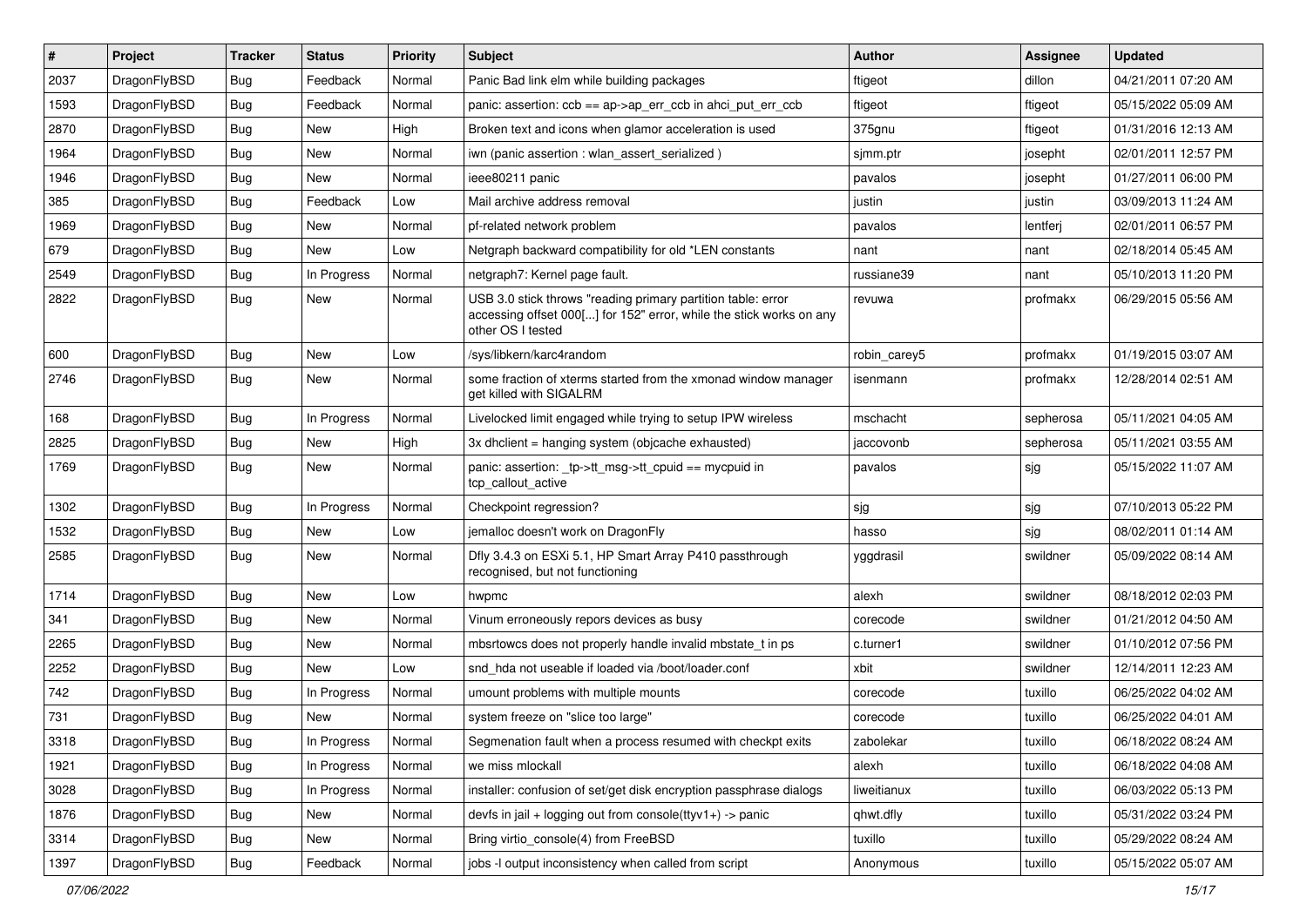| $\#$ | Project      | <b>Tracker</b> | <b>Status</b> | <b>Priority</b> | <b>Subject</b>                                                                                                                                           | <b>Author</b> | Assignee  | <b>Updated</b>      |
|------|--------------|----------------|---------------|-----------------|----------------------------------------------------------------------------------------------------------------------------------------------------------|---------------|-----------|---------------------|
| 2037 | DragonFlyBSD | <b>Bug</b>     | Feedback      | Normal          | Panic Bad link elm while building packages                                                                                                               | ftigeot       | dillon    | 04/21/2011 07:20 AM |
| 1593 | DragonFlyBSD | <b>Bug</b>     | Feedback      | Normal          | panic: assertion: $ccb == ap > ap$ err $ccb$ in ahci put err $ccb$                                                                                       | ftigeot       | ftigeot   | 05/15/2022 05:09 AM |
| 2870 | DragonFlyBSD | <b>Bug</b>     | New           | High            | Broken text and icons when glamor acceleration is used                                                                                                   | 375gnu        | ftigeot   | 01/31/2016 12:13 AM |
| 1964 | DragonFlyBSD | <b>Bug</b>     | New           | Normal          | iwn (panic assertion : wlan assert serialized)                                                                                                           | sjmm.ptr      | josepht   | 02/01/2011 12:57 PM |
| 1946 | DragonFlyBSD | <b>Bug</b>     | <b>New</b>    | Normal          | ieee80211 panic                                                                                                                                          | pavalos       | josepht   | 01/27/2011 06:00 PM |
| 385  | DragonFlyBSD | <b>Bug</b>     | Feedback      | Low             | Mail archive address removal                                                                                                                             | justin        | justin    | 03/09/2013 11:24 AM |
| 1969 | DragonFlyBSD | <b>Bug</b>     | New           | Normal          | pf-related network problem                                                                                                                               | pavalos       | lentferj  | 02/01/2011 06:57 PM |
| 679  | DragonFlyBSD | <b>Bug</b>     | New           | Low             | Netgraph backward compatibility for old *LEN constants                                                                                                   | nant          | nant      | 02/18/2014 05:45 AM |
| 2549 | DragonFlyBSD | <b>Bug</b>     | In Progress   | Normal          | netgraph7: Kernel page fault.                                                                                                                            | russiane39    | nant      | 05/10/2013 11:20 PM |
| 2822 | DragonFlyBSD | <b>Bug</b>     | New           | Normal          | USB 3.0 stick throws "reading primary partition table: error<br>accessing offset 000[] for 152" error, while the stick works on any<br>other OS I tested | revuwa        | profmakx  | 06/29/2015 05:56 AM |
| 600  | DragonFlyBSD | Bug            | <b>New</b>    | Low             | /sys/libkern/karc4random                                                                                                                                 | robin carey5  | profmakx  | 01/19/2015 03:07 AM |
| 2746 | DragonFlyBSD | <b>Bug</b>     | New           | Normal          | some fraction of xterms started from the xmonad window manager<br>get killed with SIGALRM                                                                | isenmann      | profmakx  | 12/28/2014 02:51 AM |
| 168  | DragonFlyBSD | <b>Bug</b>     | In Progress   | Normal          | Livelocked limit engaged while trying to setup IPW wireless                                                                                              | mschacht      | sepherosa | 05/11/2021 04:05 AM |
| 2825 | DragonFlyBSD | <b>Bug</b>     | New           | High            | 3x dhclient = hanging system (objcache exhausted)                                                                                                        | jaccovonb     | sepherosa | 05/11/2021 03:55 AM |
| 1769 | DragonFlyBSD | <b>Bug</b>     | New           | Normal          | panic: assertion: _tp->tt_msg->tt_cpuid == mycpuid in<br>tcp callout active                                                                              | pavalos       | sjg       | 05/15/2022 11:07 AM |
| 1302 | DragonFlyBSD | <b>Bug</b>     | In Progress   | Normal          | Checkpoint regression?                                                                                                                                   | sjg           | sjg       | 07/10/2013 05:22 PM |
| 1532 | DragonFlyBSD | <b>Bug</b>     | <b>New</b>    | Low             | jemalloc doesn't work on DragonFly                                                                                                                       | hasso         | sjg       | 08/02/2011 01:14 AM |
| 2585 | DragonFlyBSD | <b>Bug</b>     | New           | Normal          | Dfly 3.4.3 on ESXi 5.1, HP Smart Array P410 passthrough<br>recognised, but not functioning                                                               | yggdrasil     | swildner  | 05/09/2022 08:14 AM |
| 1714 | DragonFlyBSD | <b>Bug</b>     | New           | Low             | hwpmc                                                                                                                                                    | alexh         | swildner  | 08/18/2012 02:03 PM |
| 341  | DragonFlyBSD | <b>Bug</b>     | New           | Normal          | Vinum erroneously repors devices as busy                                                                                                                 | corecode      | swildner  | 01/21/2012 04:50 AM |
| 2265 | DragonFlyBSD | <b>Bug</b>     | New           | Normal          | mbsrtowcs does not properly handle invalid mbstate_t in ps                                                                                               | c.turner1     | swildner  | 01/10/2012 07:56 PM |
| 2252 | DragonFlyBSD | <b>Bug</b>     | New           | Low             | snd hda not useable if loaded via /boot/loader.conf                                                                                                      | xbit          | swildner  | 12/14/2011 12:23 AM |
| 742  | DragonFlyBSD | <b>Bug</b>     | In Progress   | Normal          | umount problems with multiple mounts                                                                                                                     | corecode      | tuxillo   | 06/25/2022 04:02 AM |
| 731  | DragonFlyBSD | <b>Bug</b>     | <b>New</b>    | Normal          | system freeze on "slice too large"                                                                                                                       | corecode      | tuxillo   | 06/25/2022 04:01 AM |
| 3318 | DragonFlyBSD | Bug            | In Progress   | Normal          | Segmenation fault when a process resumed with checkpt exits                                                                                              | zabolekar     | tuxillo   | 06/18/2022 08:24 AM |
| 1921 | DragonFlyBSD | <b>Bug</b>     | In Progress   | Normal          | we miss mlockall                                                                                                                                         | alexh         | tuxillo   | 06/18/2022 04:08 AM |
| 3028 | DragonFlyBSD | <b>Bug</b>     | In Progress   | Normal          | installer: confusion of set/get disk encryption passphrase dialogs                                                                                       | liweitianux   | tuxillo   | 06/03/2022 05:13 PM |
| 1876 | DragonFlyBSD | <b>Bug</b>     | New           | Normal          | devfs in jail + logging out from console(ttyv1+) -> panic                                                                                                | qhwt.dfly     | tuxillo   | 05/31/2022 03:24 PM |
| 3314 | DragonFlyBSD | <b>Bug</b>     | New           | Normal          | Bring virtio console(4) from FreeBSD                                                                                                                     | tuxillo       | tuxillo   | 05/29/2022 08:24 AM |
| 1397 | DragonFlyBSD | Bug            | Feedback      | Normal          | jobs -I output inconsistency when called from script                                                                                                     | Anonymous     | tuxillo   | 05/15/2022 05:07 AM |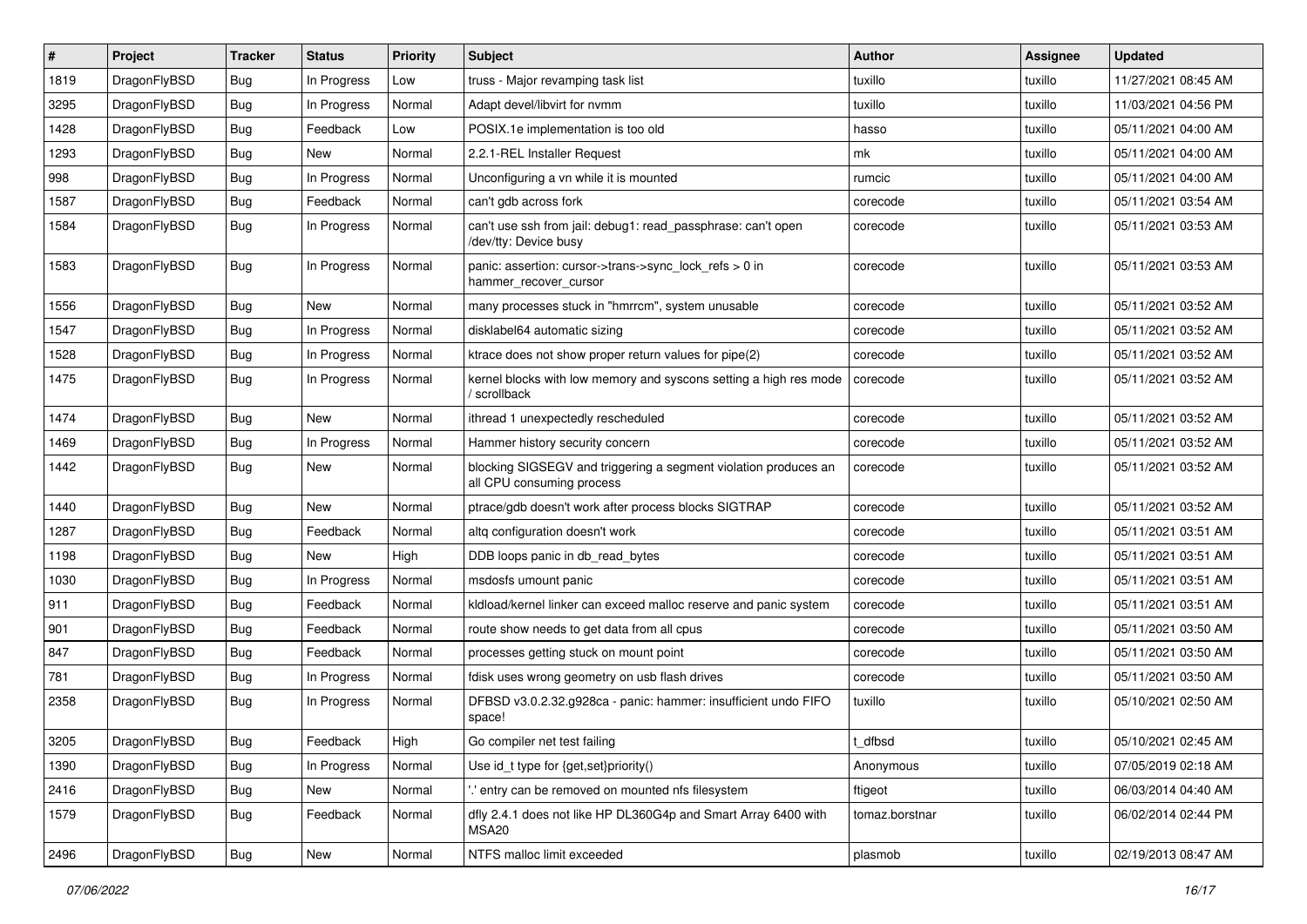| $\vert$ # | Project      | <b>Tracker</b> | <b>Status</b> | <b>Priority</b> | Subject                                                                                      | <b>Author</b>  | <b>Assignee</b> | <b>Updated</b>      |
|-----------|--------------|----------------|---------------|-----------------|----------------------------------------------------------------------------------------------|----------------|-----------------|---------------------|
| 1819      | DragonFlyBSD | <b>Bug</b>     | In Progress   | Low             | truss - Major revamping task list                                                            | tuxillo        | tuxillo         | 11/27/2021 08:45 AM |
| 3295      | DragonFlyBSD | <b>Bug</b>     | In Progress   | Normal          | Adapt devel/libvirt for nvmm                                                                 | tuxillo        | tuxillo         | 11/03/2021 04:56 PM |
| 1428      | DragonFlyBSD | <b>Bug</b>     | Feedback      | Low             | POSIX.1e implementation is too old                                                           | hasso          | tuxillo         | 05/11/2021 04:00 AM |
| 1293      | DragonFlyBSD | <b>Bug</b>     | New           | Normal          | 2.2.1-REL Installer Request                                                                  | mk             | tuxillo         | 05/11/2021 04:00 AM |
| 998       | DragonFlyBSD | <b>Bug</b>     | In Progress   | Normal          | Unconfiguring a vn while it is mounted                                                       | rumcic         | tuxillo         | 05/11/2021 04:00 AM |
| 1587      | DragonFlyBSD | Bug            | Feedback      | Normal          | can't gdb across fork                                                                        | corecode       | tuxillo         | 05/11/2021 03:54 AM |
| 1584      | DragonFlyBSD | Bug            | In Progress   | Normal          | can't use ssh from jail: debug1: read_passphrase: can't open<br>/dev/tty: Device busy        | corecode       | tuxillo         | 05/11/2021 03:53 AM |
| 1583      | DragonFlyBSD | <b>Bug</b>     | In Progress   | Normal          | panic: assertion: cursor->trans->sync_lock_refs > 0 in<br>hammer_recover_cursor              | corecode       | tuxillo         | 05/11/2021 03:53 AM |
| 1556      | DragonFlyBSD | <b>Bug</b>     | New           | Normal          | many processes stuck in "hmrrcm", system unusable                                            | corecode       | tuxillo         | 05/11/2021 03:52 AM |
| 1547      | DragonFlyBSD | <b>Bug</b>     | In Progress   | Normal          | disklabel64 automatic sizing                                                                 | corecode       | tuxillo         | 05/11/2021 03:52 AM |
| 1528      | DragonFlyBSD | <b>Bug</b>     | In Progress   | Normal          | ktrace does not show proper return values for pipe(2)                                        | corecode       | tuxillo         | 05/11/2021 03:52 AM |
| 1475      | DragonFlyBSD | <b>Bug</b>     | In Progress   | Normal          | kernel blocks with low memory and syscons setting a high res mode<br>scrollback              | corecode       | tuxillo         | 05/11/2021 03:52 AM |
| 1474      | DragonFlyBSD | <b>Bug</b>     | New           | Normal          | ithread 1 unexpectedly rescheduled                                                           | corecode       | tuxillo         | 05/11/2021 03:52 AM |
| 1469      | DragonFlyBSD | <b>Bug</b>     | In Progress   | Normal          | Hammer history security concern                                                              | corecode       | tuxillo         | 05/11/2021 03:52 AM |
| 1442      | DragonFlyBSD | Bug            | New           | Normal          | blocking SIGSEGV and triggering a segment violation produces an<br>all CPU consuming process | corecode       | tuxillo         | 05/11/2021 03:52 AM |
| 1440      | DragonFlyBSD | <b>Bug</b>     | New           | Normal          | ptrace/gdb doesn't work after process blocks SIGTRAP                                         | corecode       | tuxillo         | 05/11/2021 03:52 AM |
| 1287      | DragonFlyBSD | <b>Bug</b>     | Feedback      | Normal          | altq configuration doesn't work                                                              | corecode       | tuxillo         | 05/11/2021 03:51 AM |
| 1198      | DragonFlyBSD | <b>Bug</b>     | New           | High            | DDB loops panic in db read bytes                                                             | corecode       | tuxillo         | 05/11/2021 03:51 AM |
| 1030      | DragonFlyBSD | <b>Bug</b>     | In Progress   | Normal          | msdosfs umount panic                                                                         | corecode       | tuxillo         | 05/11/2021 03:51 AM |
| 911       | DragonFlyBSD | <b>Bug</b>     | Feedback      | Normal          | kidload/kernel linker can exceed malloc reserve and panic system                             | corecode       | tuxillo         | 05/11/2021 03:51 AM |
| 901       | DragonFlyBSD | <b>Bug</b>     | Feedback      | Normal          | route show needs to get data from all cpus                                                   | corecode       | tuxillo         | 05/11/2021 03:50 AM |
| 847       | DragonFlyBSD | <b>Bug</b>     | Feedback      | Normal          | processes getting stuck on mount point                                                       | corecode       | tuxillo         | 05/11/2021 03:50 AM |
| 781       | DragonFlyBSD | Bug            | In Progress   | Normal          | fdisk uses wrong geometry on usb flash drives                                                | corecode       | tuxillo         | 05/11/2021 03:50 AM |
| 2358      | DragonFlyBSD | <b>Bug</b>     | In Progress   | Normal          | DFBSD v3.0.2.32.g928ca - panic: hammer: insufficient undo FIFO<br>space!                     | tuxillo        | tuxillo         | 05/10/2021 02:50 AM |
| 3205      | DragonFlyBSD | Bug            | Feedback      | High            | Go compiler net test failing                                                                 | t_dfbsd        | tuxillo         | 05/10/2021 02:45 AM |
| 1390      | DragonFlyBSD | Bug            | In Progress   | Normal          | Use id_t type for {get,set}priority()                                                        | Anonymous      | tuxillo         | 07/05/2019 02:18 AM |
| 2416      | DragonFlyBSD | <b>Bug</b>     | New           | Normal          | ".' entry can be removed on mounted nfs filesystem                                           | ftigeot        | tuxillo         | 06/03/2014 04:40 AM |
| 1579      | DragonFlyBSD | <b>Bug</b>     | Feedback      | Normal          | dfly 2.4.1 does not like HP DL360G4p and Smart Array 6400 with<br>MSA20                      | tomaz.borstnar | tuxillo         | 06/02/2014 02:44 PM |
| 2496      | DragonFlyBSD | <b>Bug</b>     | New           | Normal          | NTFS malloc limit exceeded                                                                   | plasmob        | tuxillo         | 02/19/2013 08:47 AM |